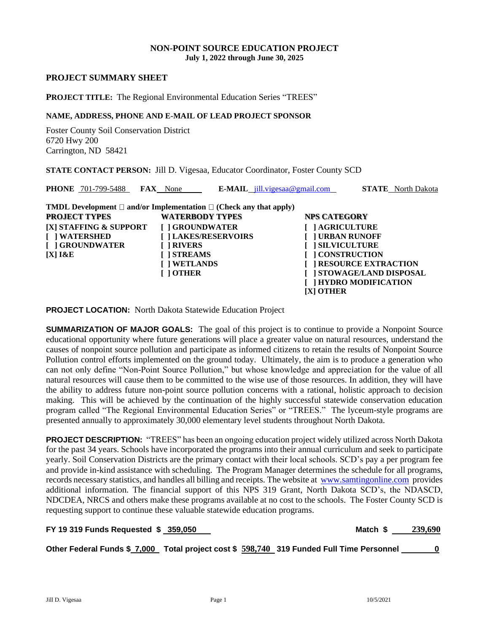#### **NON-POINT SOURCE EDUCATION PROJECT July 1, 2022 through June 30, 2025**

#### **PROJECT SUMMARY SHEET**

#### **PROJECT TITLE:** The Regional Environmental Education Series "TREES"

# **NAME, ADDRESS, PHONE AND E-MAIL OF LEAD PROJECT SPONSOR**

Foster County Soil Conservation District 6720 Hwy 200 Carrington, ND 58421

**STATE CONTACT PERSON:** Jill D. Vigesaa, Educator Coordinator, Foster County SCD

| <b>PHONE</b> 701-799-5488<br><b>FAX</b> None                                                                                                                                                                                                                            |                                                                  | <b>E-MAIL</b> $jill.vigesaa@gmail.com$  | <b>STATE</b> North Dakota                                                                                                                                                           |
|-------------------------------------------------------------------------------------------------------------------------------------------------------------------------------------------------------------------------------------------------------------------------|------------------------------------------------------------------|-----------------------------------------|-------------------------------------------------------------------------------------------------------------------------------------------------------------------------------------|
| <b>TMDL Development</b> $\Box$ and/or Implementation $\Box$ (Check any that apply)<br><b>PROJECT TYPES</b><br>[X] STAFFING & SUPPORT<br><b>I</b> I WATERSHED<br>[ ] GROUNDWATER<br>[ ] RIVERS<br><b>I ISTREAMS</b><br>$[X]$ $R$ $E$<br><b>I</b> I WETLANDS<br>[ ] OTHER | <b>WATERBODY TYPES</b><br>[ ] GROUNDWATER<br>[] LAKES/RESERVOIRS | <b>NPS CATEGORY</b><br><b>[X] OTHER</b> | <b>AGRICULTURE</b><br><b>TURBAN RUNOFF</b><br><b>SILVICULTURE</b><br><b>CONSTRUCTION</b><br><b>RESOURCE EXTRACTION</b><br><b>STOWAGE/LAND DISPOSAL</b><br><b>HYDRO MODIFICATION</b> |

**PROJECT LOCATION:** North Dakota Statewide Education Project

**SUMMARIZATION OF MAJOR GOALS:** The goal of this project is to continue to provide a Nonpoint Source educational opportunity where future generations will place a greater value on natural resources, understand the causes of nonpoint source pollution and participate as informed citizens to retain the results of Nonpoint Source Pollution control efforts implemented on the ground today. Ultimately, the aim is to produce a generation who can not only define "Non-Point Source Pollution," but whose knowledge and appreciation for the value of all natural resources will cause them to be committed to the wise use of those resources. In addition, they will have the ability to address future non-point source pollution concerns with a rational, holistic approach to decision making. This will be achieved by the continuation of the highly successful statewide conservation education program called "The Regional Environmental Education Series" or "TREES." The lyceum-style programs are presented annually to approximately 30,000 elementary level students throughout North Dakota.

**PROJECT DESCRIPTION:** "TREES" has been an ongoing education project widely utilized across North Dakota for the past 34 years. Schools have incorporated the programs into their annual curriculum and seek to participate yearly. Soil Conservation Districts are the primary contact with their local schools. SCD's pay a per program fee and provide in-kind assistance with scheduling. The Program Manager determines the schedule for all programs, records necessary statistics, and handles all billing and receipts. The website at [www.samtingonline.com](http://www.samtingonline.com/) provides additional information. The financial support of this NPS 319 Grant, North Dakota SCD's, the NDASCD, NDCDEA, NRCS and others make these programs available at no cost to the schools. The Foster County SCD is requesting support to continue these valuable statewide education programs.

| FY 19 319 Funds Requested \$ 359,050 | Match \$ 239,690 |
|--------------------------------------|------------------|
|                                      |                  |

**Other Federal Funds \$ 7,000 Total project cost \$ 598,740 319 Funded Full Time Personnel 0**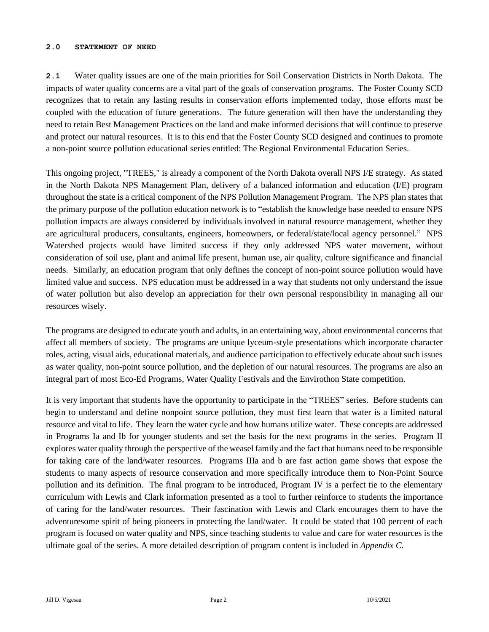#### **2.0 STATEMENT OF NEED**

**2.1** Water quality issues are one of the main priorities for Soil Conservation Districts in North Dakota. The impacts of water quality concerns are a vital part of the goals of conservation programs. The Foster County SCD recognizes that to retain any lasting results in conservation efforts implemented today, those efforts *must* be coupled with the education of future generations. The future generation will then have the understanding they need to retain Best Management Practices on the land and make informed decisions that will continue to preserve and protect our natural resources. It is to this end that the Foster County SCD designed and continues to promote a non-point source pollution educational series entitled: The Regional Environmental Education Series.

This ongoing project, "TREES," is already a component of the North Dakota overall NPS I/E strategy. As stated in the North Dakota NPS Management Plan, delivery of a balanced information and education (I/E) program throughout the state is a critical component of the NPS Pollution Management Program. The NPS plan states that the primary purpose of the pollution education network is to "establish the knowledge base needed to ensure NPS pollution impacts are always considered by individuals involved in natural resource management, whether they are agricultural producers, consultants, engineers, homeowners, or federal/state/local agency personnel." NPS Watershed projects would have limited success if they only addressed NPS water movement, without consideration of soil use, plant and animal life present, human use, air quality, culture significance and financial needs. Similarly, an education program that only defines the concept of non-point source pollution would have limited value and success. NPS education must be addressed in a way that students not only understand the issue of water pollution but also develop an appreciation for their own personal responsibility in managing all our resources wisely.

The programs are designed to educate youth and adults, in an entertaining way, about environmental concerns that affect all members of society. The programs are unique lyceum-style presentations which incorporate character roles, acting, visual aids, educational materials, and audience participation to effectively educate about such issues as water quality, non-point source pollution, and the depletion of our natural resources. The programs are also an integral part of most Eco-Ed Programs, Water Quality Festivals and the Envirothon State competition.

It is very important that students have the opportunity to participate in the "TREES" series. Before students can begin to understand and define nonpoint source pollution, they must first learn that water is a limited natural resource and vital to life. They learn the water cycle and how humans utilize water. These concepts are addressed in Programs Ia and Ib for younger students and set the basis for the next programs in the series. Program II explores water quality through the perspective of the weasel family and the fact that humans need to be responsible for taking care of the land/water resources. Programs IIIa and b are fast action game shows that expose the students to many aspects of resource conservation and more specifically introduce them to Non-Point Source pollution and its definition. The final program to be introduced, Program IV is a perfect tie to the elementary curriculum with Lewis and Clark information presented as a tool to further reinforce to students the importance of caring for the land/water resources. Their fascination with Lewis and Clark encourages them to have the adventuresome spirit of being pioneers in protecting the land/water. It could be stated that 100 percent of each program is focused on water quality and NPS, since teaching students to value and care for water resources is the ultimate goal of the series. A more detailed description of program content is included in *Appendix C*.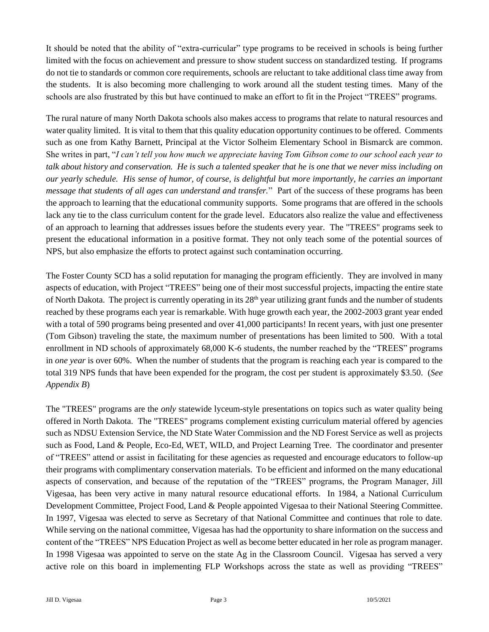It should be noted that the ability of "extra-curricular" type programs to be received in schools is being further limited with the focus on achievement and pressure to show student success on standardized testing. If programs do not tie to standards or common core requirements, schools are reluctant to take additional class time away from the students. It is also becoming more challenging to work around all the student testing times. Many of the schools are also frustrated by this but have continued to make an effort to fit in the Project "TREES" programs.

The rural nature of many North Dakota schools also makes access to programs that relate to natural resources and water quality limited. It is vital to them that this quality education opportunity continues to be offered. Comments such as one from Kathy Barnett, Principal at the Victor Solheim Elementary School in Bismarck are common. She writes in part, "*I can't tell you how much we appreciate having Tom Gibson come to our school each year to talk about history and conservation. He is such a talented speaker that he is one that we never miss including on our yearly schedule. His sense of humor, of course, is delightful but more importantly, he carries an important message that students of all ages can understand and transfer.*" Part of the success of these programs has been the approach to learning that the educational community supports. Some programs that are offered in the schools lack any tie to the class curriculum content for the grade level. Educators also realize the value and effectiveness of an approach to learning that addresses issues before the students every year. The "TREES" programs seek to present the educational information in a positive format. They not only teach some of the potential sources of NPS, but also emphasize the efforts to protect against such contamination occurring.

The Foster County SCD has a solid reputation for managing the program efficiently. They are involved in many aspects of education, with Project "TREES" being one of their most successful projects, impacting the entire state of North Dakota. The project is currently operating in its 28<sup>th</sup> year utilizing grant funds and the number of students reached by these programs each year is remarkable. With huge growth each year, the 2002-2003 grant year ended with a total of 590 programs being presented and over 41,000 participants! In recent years, with just one presenter (Tom Gibson) traveling the state, the maximum number of presentations has been limited to 500. With a total enrollment in ND schools of approximately 68,000 K-6 students, the number reached by the "TREES" programs in *one year* is over 60%. When the number of students that the program is reaching each year is compared to the total 319 NPS funds that have been expended for the program, the cost per student is approximately \$3.50. (*See Appendix B*)

The "TREES" programs are the *only* statewide lyceum-style presentations on topics such as water quality being offered in North Dakota. The "TREES" programs complement existing curriculum material offered by agencies such as NDSU Extension Service, the ND State Water Commission and the ND Forest Service as well as projects such as Food, Land & People, Eco-Ed, WET, WILD, and Project Learning Tree. The coordinator and presenter of "TREES" attend or assist in facilitating for these agencies as requested and encourage educators to follow-up their programs with complimentary conservation materials. To be efficient and informed on the many educational aspects of conservation, and because of the reputation of the "TREES" programs, the Program Manager, Jill Vigesaa, has been very active in many natural resource educational efforts. In 1984, a National Curriculum Development Committee, Project Food, Land & People appointed Vigesaa to their National Steering Committee. In 1997, Vigesaa was elected to serve as Secretary of that National Committee and continues that role to date. While serving on the national committee, Vigesaa has had the opportunity to share information on the success and content of the "TREES" NPS Education Project as well as become better educated in her role as program manager. In 1998 Vigesaa was appointed to serve on the state Ag in the Classroom Council. Vigesaa has served a very active role on this board in implementing FLP Workshops across the state as well as providing "TREES"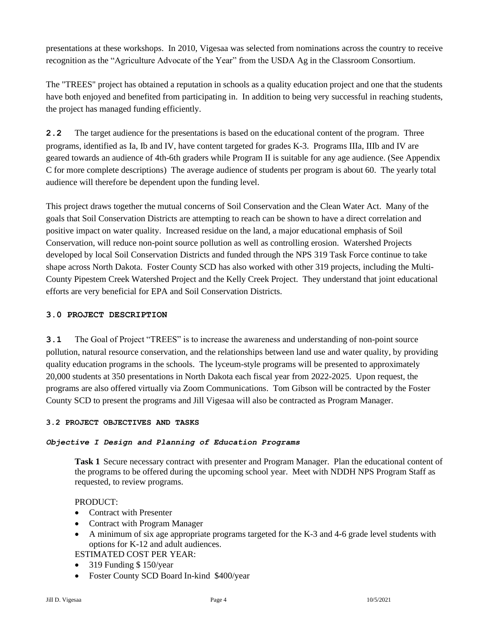presentations at these workshops. In 2010, Vigesaa was selected from nominations across the country to receive recognition as the "Agriculture Advocate of the Year" from the USDA Ag in the Classroom Consortium.

The "TREES" project has obtained a reputation in schools as a quality education project and one that the students have both enjoyed and benefited from participating in. In addition to being very successful in reaching students, the project has managed funding efficiently.

**2.2** The target audience for the presentations is based on the educational content of the program. Three programs, identified as Ia, Ib and IV, have content targeted for grades K-3. Programs IIIa, IIIb and IV are geared towards an audience of 4th-6th graders while Program II is suitable for any age audience. (See Appendix C for more complete descriptions) The average audience of students per program is about 60. The yearly total audience will therefore be dependent upon the funding level.

This project draws together the mutual concerns of Soil Conservation and the Clean Water Act. Many of the goals that Soil Conservation Districts are attempting to reach can be shown to have a direct correlation and positive impact on water quality. Increased residue on the land, a major educational emphasis of Soil Conservation, will reduce non-point source pollution as well as controlling erosion. Watershed Projects developed by local Soil Conservation Districts and funded through the NPS 319 Task Force continue to take shape across North Dakota. Foster County SCD has also worked with other 319 projects, including the Multi-County Pipestem Creek Watershed Project and the Kelly Creek Project. They understand that joint educational efforts are very beneficial for EPA and Soil Conservation Districts.

## **3.0 PROJECT DESCRIPTION**

**3.1** The Goal of Project "TREES" is to increase the awareness and understanding of non-point source pollution, natural resource conservation, and the relationships between land use and water quality, by providing quality education programs in the schools. The lyceum-style programs will be presented to approximately 20,000 students at 350 presentations in North Dakota each fiscal year from 2022-2025. Upon request, the programs are also offered virtually via Zoom Communications. Tom Gibson will be contracted by the Foster County SCD to present the programs and Jill Vigesaa will also be contracted as Program Manager.

## **3.2 PROJECT OBJECTIVES AND TASKS**

## *Objective I Design and Planning of Education Programs*

**Task 1** Secure necessary contract with presenter and Program Manager. Plan the educational content of the programs to be offered during the upcoming school year. Meet with NDDH NPS Program Staff as requested, to review programs.

## PRODUCT:

- Contract with Presenter
- Contract with Program Manager
- A minimum of six age appropriate programs targeted for the K-3 and 4-6 grade level students with options for K-12 and adult audiences.

## ESTIMATED COST PER YEAR:

- 319 Funding \$150/year
- Foster County SCD Board In-kind \$400/year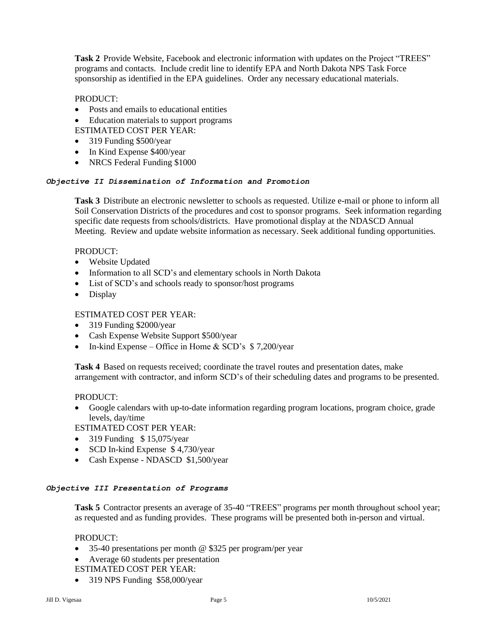**Task 2** Provide Website, Facebook and electronic information with updates on the Project "TREES" programs and contacts. Include credit line to identify EPA and North Dakota NPS Task Force sponsorship as identified in the EPA guidelines. Order any necessary educational materials.

## PRODUCT:

- Posts and emails to educational entities
- Education materials to support programs
- ESTIMATED COST PER YEAR:
- 319 Funding \$500/year
- In Kind Expense \$400/year
- NRCS Federal Funding \$1000

## *Objective II Dissemination of Information and Promotion*

**Task 3** Distribute an electronic newsletter to schools as requested. Utilize e-mail or phone to inform all Soil Conservation Districts of the procedures and cost to sponsor programs. Seek information regarding specific date requests from schools/districts. Have promotional display at the NDASCD Annual Meeting. Review and update website information as necessary. Seek additional funding opportunities.

## PRODUCT:

- Website Updated
- Information to all SCD's and elementary schools in North Dakota
- List of SCD's and schools ready to sponsor/host programs
- Display

## ESTIMATED COST PER YEAR:

- 319 Funding \$2000/year
- Cash Expense Website Support \$500/year
- In-kind Expense Office in Home & SCD's  $$7,200/year$

**Task 4** Based on requests received; coordinate the travel routes and presentation dates, make arrangement with contractor, and inform SCD's of their scheduling dates and programs to be presented.

## PRODUCT:

• Google calendars with up-to-date information regarding program locations, program choice, grade levels, day/time

ESTIMATED COST PER YEAR:

- 319 Funding  $$ 15,075/year$
- SCD In-kind Expense \$4,730/year
- Cash Expense NDASCD \$1,500/year

## *Objective III Presentation of Programs*

**Task 5** Contractor presents an average of 35-40 "TREES" programs per month throughout school year; as requested and as funding provides. These programs will be presented both in-person and virtual.

## PRODUCT:

- 35-40 presentations per month @ \$325 per program/per year
- Average 60 students per presentation ESTIMATED COST PER YEAR:
- 319 NPS Funding \$58,000/year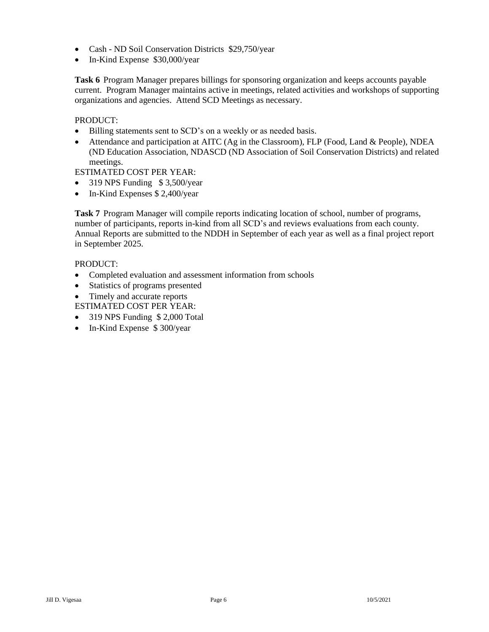- Cash ND Soil Conservation Districts \$29,750/year
- In-Kind Expense \$30,000/year

**Task 6** Program Manager prepares billings for sponsoring organization and keeps accounts payable current. Program Manager maintains active in meetings, related activities and workshops of supporting organizations and agencies. Attend SCD Meetings as necessary.

## PRODUCT:

- Billing statements sent to SCD's on a weekly or as needed basis.
- Attendance and participation at AITC (Ag in the Classroom), FLP (Food, Land & People), NDEA (ND Education Association, NDASCD (ND Association of Soil Conservation Districts) and related meetings.

ESTIMATED COST PER YEAR:

- 319 NPS Funding \$3,500/year
- In-Kind Expenses \$ 2,400/year

**Task 7** Program Manager will compile reports indicating location of school, number of programs, number of participants, reports in-kind from all SCD's and reviews evaluations from each county. Annual Reports are submitted to the NDDH in September of each year as well as a final project report in September 2025.

## PRODUCT:

- Completed evaluation and assessment information from schools
- Statistics of programs presented
- Timely and accurate reports

ESTIMATED COST PER YEAR:

- 319 NPS Funding \$ 2,000 Total
- In-Kind Expense \$300/year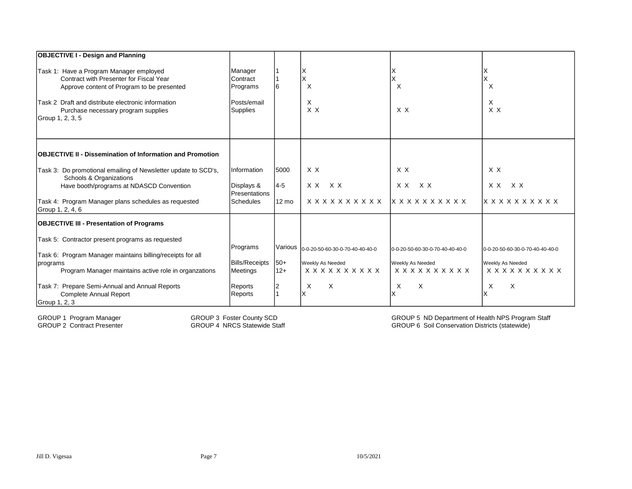| <b>OBJECTIVE I - Design and Planning</b>                                                                                                                                                                                                          |                                                            |         |                                         |                                     |                                 |
|---------------------------------------------------------------------------------------------------------------------------------------------------------------------------------------------------------------------------------------------------|------------------------------------------------------------|---------|-----------------------------------------|-------------------------------------|---------------------------------|
| Task 1: Have a Program Manager employed<br>Contract with Presenter for Fiscal Year<br>Approve content of Program to be presented<br>Task 2 Draft and distribute electronic information<br>Purchase necessary program supplies<br>Group 1, 2, 3, 5 | Manager<br>Contract<br>Programs<br>Posts/email<br>Supplies |         | X<br>X<br>X<br>$X$ $X$                  | X<br>X X                            | $\times$<br>X<br>X X            |
| <b>IOBJECTIVE II - Dissemination of Information and Promotion</b>                                                                                                                                                                                 |                                                            |         |                                         |                                     |                                 |
| Task 3: Do promotional emailing of Newsletter update to SCD's,<br>Schools & Organizations                                                                                                                                                         | <b>Information</b>                                         | 5000    | X X                                     | X X                                 | X X                             |
| Have booth/programs at NDASCD Convention                                                                                                                                                                                                          | Displays &<br>Presentations                                | $4 - 5$ | X X<br>XX                               | XX<br>X X                           | XX<br>XX.                       |
| Task 4: Program Manager plans schedules as requested<br>Group 1, 2, 4, 6                                                                                                                                                                          | <b>Schedules</b>                                           | 12 mo   | x x x x x x x x x x                     | $X$ $X$ $X$ $X$ $X$ $X$ $X$ $X$ $X$ | <b>x x x x x x x x x x</b>      |
| <b>OBJECTIVE III - Presentation of Programs</b>                                                                                                                                                                                                   |                                                            |         |                                         |                                     |                                 |
| Task 5: Contractor present programs as requested                                                                                                                                                                                                  | Programs                                                   |         | Various 0-0-20-50-60-30-0-70-40-40-40-0 | 0-0-20-50-60-30-0-70-40-40-40-0     | 0-0-20-50-60-30-0-70-40-40-40-0 |
| Task 6: Program Manager maintains billing/receipts for all<br>programs                                                                                                                                                                            | <b>Bills/Receipts</b>                                      | $50+$   | Weekly As Needed                        | Weekly As Needed                    | Weekly As Needed                |
| Program Manager maintains active role in organzations                                                                                                                                                                                             | Meetings                                                   | $12+$   | x x x x x x x x x x                     | x x x x x x x x x x                 | x x x x x x x x x x             |
| Task 7: Prepare Semi-Annual and Annual Reports<br><b>Complete Annual Report</b>                                                                                                                                                                   | Reports<br>Reports                                         |         | $\times$<br>X                           | X<br>X                              | $\mathsf{X}$<br>X               |
| Group 1, 2, 3                                                                                                                                                                                                                                     |                                                            |         |                                         |                                     |                                 |

GROUP 1 Program Manager<br>GROUP 2 Contract Presenter

GROUP 3 Foster County SCD GROUP 4 NRCS Statewide Staff

GROUP 6 Soil Conservation Districts (statewide) GROUP 5 ND Department of Health NPS Program Staff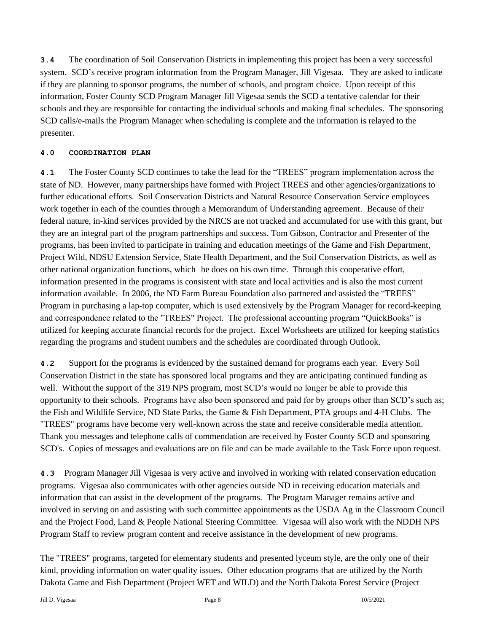**3.4** The coordination of Soil Conservation Districts in implementing this project has been a very successful system. SCD's receive program information from the Program Manager, Jill Vigesaa. They are asked to indicate if they are planning to sponsor programs, the number of schools, and program choice. Upon receipt of this information, Foster County SCD Program Manager Jill Vigesaa sends the SCD a tentative calendar for their schools and they are responsible for contacting the individual schools and making final schedules. The sponsoring SCD calls/e-mails the Program Manager when scheduling is complete and the information is relayed to the presenter.

## **4.0 COORDINATION PLAN**

**4.1** The Foster County SCD continues to take the lead for the "TREES" program implementation across the state of ND. However, many partnerships have formed with Project TREES and other agencies/organizations to further educational efforts. Soil Conservation Districts and Natural Resource Conservation Service employees work together in each of the counties through a Memorandum of Understanding agreement. Because of their federal nature, in-kind services provided by the NRCS are not tracked and accumulated for use with this grant, but they are an integral part of the program partnerships and success. Tom Gibson, Contractor and Presenter of the programs, has been invited to participate in training and education meetings of the Game and Fish Department, Project Wild, NDSU Extension Service, State Health Department, and the Soil Conservation Districts, as well as other national organization functions, which he does on his own time. Through this cooperative effort, information presented in the programs is consistent with state and local activities and is also the most current information available. In 2006, the ND Farm Bureau Foundation also partnered and assisted the "TREES" Program in purchasing a lap-top computer, which is used extensively by the Program Manager for record-keeping and correspondence related to the "TREES" Project. The professional accounting program "QuickBooks" is utilized for keeping accurate financial records for the project. Excel Worksheets are utilized for keeping statistics regarding the programs and student numbers and the schedules are coordinated through Outlook.

**4.2** Support for the programs is evidenced by the sustained demand for programs each year. Every Soil Conservation District in the state has sponsored local programs and they are anticipating continued funding as well. Without the support of the 319 NPS program, most SCD's would no longer be able to provide this opportunity to their schools. Programs have also been sponsored and paid for by groups other than SCD's such as; the Fish and Wildlife Service, ND State Parks, the Game & Fish Department, PTA groups and 4-H Clubs. The "TREES" programs have become very well-known across the state and receive considerable media attention. Thank you messages and telephone calls of commendation are received by Foster County SCD and sponsoring SCD's. Copies of messages and evaluations are on file and can be made available to the Task Force upon request.

**4.3** Program Manager Jill Vigesaa is very active and involved in working with related conservation education programs. Vigesaa also communicates with other agencies outside ND in receiving education materials and information that can assist in the development of the programs. The Program Manager remains active and involved in serving on and assisting with such committee appointments as the USDA Ag in the Classroom Council and the Project Food, Land & People National Steering Committee. Vigesaa will also work with the NDDH NPS Program Staff to review program content and receive assistance in the development of new programs.

The "TREES" programs, targeted for elementary students and presented lyceum style, are the only one of their kind, providing information on water quality issues. Other education programs that are utilized by the North Dakota Game and Fish Department (Project WET and WILD) and the North Dakota Forest Service (Project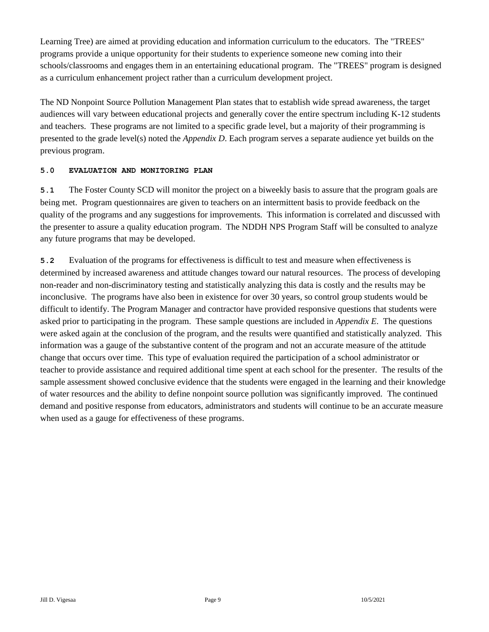Learning Tree) are aimed at providing education and information curriculum to the educators. The "TREES" programs provide a unique opportunity for their students to experience someone new coming into their schools/classrooms and engages them in an entertaining educational program. The "TREES" program is designed as a curriculum enhancement project rather than a curriculum development project.

The ND Nonpoint Source Pollution Management Plan states that to establish wide spread awareness, the target audiences will vary between educational projects and generally cover the entire spectrum including K-12 students and teachers. These programs are not limited to a specific grade level, but a majority of their programming is presented to the grade level(s) noted the *Appendix D*. Each program serves a separate audience yet builds on the previous program.

## **5.0 EVALUATION AND MONITORING PLAN**

**5.1** The Foster County SCD will monitor the project on a biweekly basis to assure that the program goals are being met. Program questionnaires are given to teachers on an intermittent basis to provide feedback on the quality of the programs and any suggestions for improvements. This information is correlated and discussed with the presenter to assure a quality education program. The NDDH NPS Program Staff will be consulted to analyze any future programs that may be developed.

**5.2** Evaluation of the programs for effectiveness is difficult to test and measure when effectiveness is determined by increased awareness and attitude changes toward our natural resources. The process of developing non-reader and non-discriminatory testing and statistically analyzing this data is costly and the results may be inconclusive. The programs have also been in existence for over 30 years, so control group students would be difficult to identify. The Program Manager and contractor have provided responsive questions that students were asked prior to participating in the program. These sample questions are included in *Appendix E*. The questions were asked again at the conclusion of the program, and the results were quantified and statistically analyzed. This information was a gauge of the substantive content of the program and not an accurate measure of the attitude change that occurs over time. This type of evaluation required the participation of a school administrator or teacher to provide assistance and required additional time spent at each school for the presenter. The results of the sample assessment showed conclusive evidence that the students were engaged in the learning and their knowledge of water resources and the ability to define nonpoint source pollution was significantly improved. The continued demand and positive response from educators, administrators and students will continue to be an accurate measure when used as a gauge for effectiveness of these programs.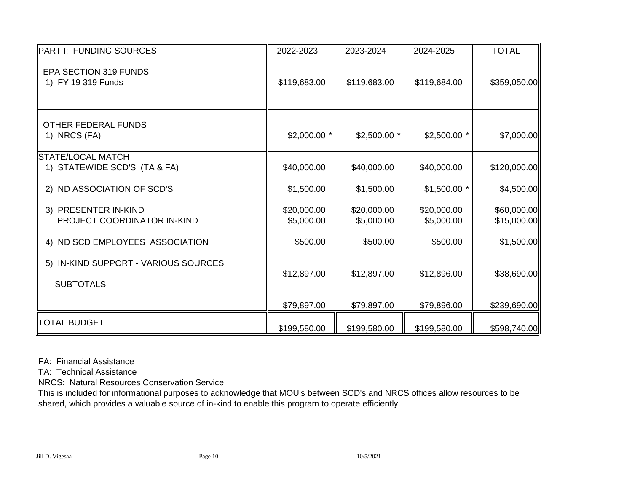| <b>PART I: FUNDING SOURCES</b>                           | 2022-2023                 | 2023-2024                 | 2024-2025                 | <b>TOTAL</b>               |
|----------------------------------------------------------|---------------------------|---------------------------|---------------------------|----------------------------|
| EPA SECTION 319 FUNDS<br>1) FY 19 319 Funds              | \$119,683.00              | \$119,683.00              | \$119,684.00              | \$359,050.00               |
| <b>OTHER FEDERAL FUNDS</b><br>1) NRCS (FA)               | $$2,000.00$ *             | $$2,500.00$ *             | $$2,500.00$ *             | \$7,000.00                 |
| <b>STATE/LOCAL MATCH</b><br>1) STATEWIDE SCD'S (TA & FA) | \$40,000.00               | \$40,000.00               | \$40,000.00               | \$120,000.00               |
| 2) ND ASSOCIATION OF SCD'S                               | \$1,500.00                | \$1,500.00                | $$1,500.00$ *             | \$4,500.00                 |
| 3) PRESENTER IN-KIND<br>PROJECT COORDINATOR IN-KIND      | \$20,000.00<br>\$5,000.00 | \$20,000.00<br>\$5,000.00 | \$20,000.00<br>\$5,000.00 | \$60,000.00<br>\$15,000.00 |
| 4) ND SCD EMPLOYEES ASSOCIATION                          | \$500.00                  | \$500.00                  | \$500.00                  | \$1,500.00                 |
| 5) IN-KIND SUPPORT - VARIOUS SOURCES<br><b>SUBTOTALS</b> | \$12,897.00               | \$12,897.00               | \$12,896.00               | \$38,690.00                |
|                                                          | \$79,897.00               | \$79,897.00               | \$79,896.00               | \$239,690.00               |
| <b>TOTAL BUDGET</b>                                      | \$199,580.00              | \$199,580.00              | \$199,580.00              | \$598,740.00               |

FA: Financial Assistance

TA: Technical Assistance

NRCS: Natural Resources Conservation Service

This is included for informational purposes to acknowledge that MOU's between SCD's and NRCS offices allow resources to be shared, which provides a valuable source of in-kind to enable this program to operate efficiently.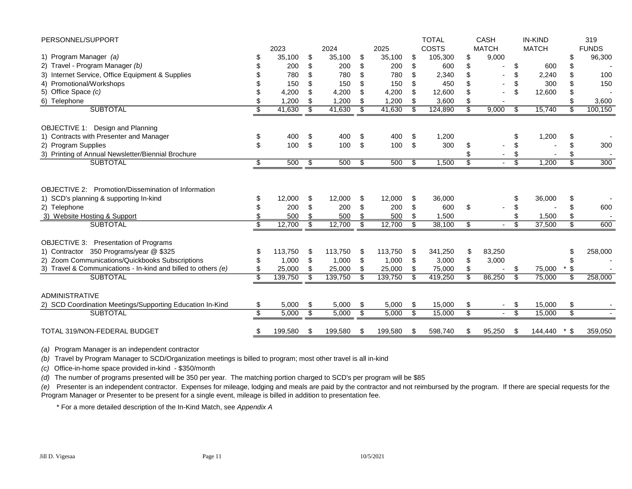| PERSONNEL/SUPPORT                                                                                                                                                       |                          |                                |                |                                |                |                                |                      | <b>TOTAL</b>                     |                 | <b>CASH</b>  |                         | <b>IN-KIND</b>            |                         | 319          |
|-------------------------------------------------------------------------------------------------------------------------------------------------------------------------|--------------------------|--------------------------------|----------------|--------------------------------|----------------|--------------------------------|----------------------|----------------------------------|-----------------|--------------|-------------------------|---------------------------|-------------------------|--------------|
|                                                                                                                                                                         |                          | 2023                           |                | 2024                           |                | 2025                           |                      | <b>COSTS</b>                     |                 | <b>MATCH</b> |                         | <b>MATCH</b>              |                         | <b>FUNDS</b> |
| 1) Program Manager (a)                                                                                                                                                  |                          | 35,100                         | \$             | 35,100                         | \$             | 35,100                         | \$                   | 105,300                          | \$              | 9,000        |                         |                           | \$                      | 96,300       |
| 2) Travel - Program Manager (b)                                                                                                                                         |                          | 200                            | \$             | 200                            | \$             | 200                            | \$                   | 600                              | \$              |              | \$                      | 600                       | \$                      |              |
| 3) Internet Service, Office Equipment & Supplies                                                                                                                        |                          | 780                            | \$             | 780                            | \$             | 780                            | \$                   | 2,340                            | \$              |              | \$                      | 2,240                     | \$                      | 100          |
| 4) Promotional/Workshops                                                                                                                                                |                          | 150                            | \$             | 150                            | \$             | 150                            | \$                   | 450                              |                 |              | \$                      | 300                       |                         | 150          |
| 5) Office Space (c)                                                                                                                                                     |                          | 4,200                          |                | 4,200                          | \$             | 4,200                          |                      | 12,600                           |                 |              | \$                      | 12,600                    |                         |              |
| 6) Telephone                                                                                                                                                            | \$                       | 1,200                          | \$             | 1,200                          | \$             | 1,200                          | \$                   | 3,600                            | \$              |              |                         |                           |                         | 3,600        |
| <b>SUBTOTAL</b>                                                                                                                                                         | S                        | 41,630                         | \$             | 41,630                         | \$             | 41,630                         | \$                   | 124,890                          | S               | 9,000        | \$                      | 15,740                    | \$                      | 100,150      |
| OBJECTIVE 1: Design and Planning                                                                                                                                        |                          |                                |                |                                |                |                                |                      |                                  |                 |              |                         |                           |                         |              |
| 1) Contracts with Presenter and Manager                                                                                                                                 | \$                       | 400                            | \$             | 400                            | \$             | 400                            | \$                   | 1,200                            |                 |              | S                       | 1,200                     | S                       |              |
| 2) Program Supplies                                                                                                                                                     | \$                       | 100                            | \$             | 100                            | \$             | 100                            | \$                   | 300                              | \$              |              | \$                      |                           |                         | 300          |
| 3) Printing of Annual Newsletter/Biennial Brochure                                                                                                                      |                          |                                |                |                                |                |                                |                      |                                  |                 |              | \$                      |                           |                         |              |
| <b>SUBTOTAL</b>                                                                                                                                                         | \$                       | 500                            | \$             | 500                            | \$             | 500                            | \$                   | 1,500                            | \$.             |              | S                       | 1,200                     | \$                      | 300          |
| <b>OBJECTIVE 2: Promotion/Dissemination of Information</b><br>1) SCD's planning & supporting In-kind<br>2) Telephone<br>3) Website Hosting & Support<br><b>SUBTOTAL</b> | S<br>\$<br>\$            | 12,000<br>200<br>500<br>12,700 | \$<br>\$<br>\$ | 12,000<br>200<br>500<br>12,700 | \$<br>\$<br>\$ | 12,000<br>200<br>500<br>12,700 | \$<br>\$<br>\$<br>\$ | 36,000<br>600<br>1,500<br>38,100 | \$<br>\$        | $\sim$       | \$<br>\$<br>\$<br>\$    | 36,000<br>1,500<br>37,500 | \$<br>S<br>\$           | 600<br>600   |
|                                                                                                                                                                         |                          |                                |                |                                |                |                                |                      |                                  |                 |              |                         |                           |                         |              |
| OBJECTIVE 3: Presentation of Programs                                                                                                                                   |                          |                                |                |                                |                |                                |                      |                                  |                 |              |                         |                           |                         |              |
| 1) Contractor 350 Programs/year @ \$325                                                                                                                                 |                          | 113,750                        | \$             | 113,750                        | \$             | 113,750                        | \$                   | 341,250                          | \$              | 83,250       |                         |                           | S                       | 258,000      |
| 2) Zoom Communications/Quickbooks Subscriptions                                                                                                                         | \$                       | 1,000                          | \$             | 1,000                          | \$             | 1,000                          | \$                   | 3,000                            | \$              | 3,000        |                         |                           | S                       |              |
| 3) Travel & Communications - In-kind and billed to others (e)<br><b>SUBTOTAL</b>                                                                                        |                          | 25,000                         |                | 25,000                         | \$<br>\$       | 25,000                         | \$                   | 75,000                           | \$.             |              | \$<br>\$                | 75,000                    | \$<br>S                 |              |
|                                                                                                                                                                         | $\overline{\mathcal{S}}$ | 139,750                        | \$             | 139,750                        |                | 139,750                        |                      | 419,250                          |                 | 86,250       |                         | 75,000                    |                         | 258,000      |
| <b>ADMINISTRATIVE</b>                                                                                                                                                   |                          |                                |                |                                |                |                                |                      |                                  |                 |              |                         |                           |                         |              |
| 2) SCD Coordination Meetings/Supporting Education In-Kind                                                                                                               | \$                       | 5,000                          | \$             | 5,000                          | \$             | 5,000                          | \$                   | 15,000                           | \$              | $\sim$       | \$                      | 15,000                    | \$                      |              |
| <b>SUBTOTAL</b>                                                                                                                                                         | \$                       | 5,000                          | \$             | 5,000                          | s              | 5,000                          | \$                   | 15,000                           | $\overline{\$}$ |              | $\overline{\mathbb{S}}$ | 15,000                    | $\overline{\mathbb{S}}$ |              |
| TOTAL 319/NON-FEDERAL BUDGET                                                                                                                                            | \$                       | 199,580                        | \$             | 199,580                        | \$             | 199,580                        | \$                   | 598,740                          | \$              | 95,250       | \$                      | 144,440                   | \$                      | 359,050      |

*(a)* Program Manager is an independent contractor

*(b)* Travel by Program Manager to SCD/Organization meetings is billed to program; most other travel is all in-kind

*(c)* Office-in-home space provided in-kind - \$350/month

*(d)* The number of programs presented will be 350 per year. The matching portion charged to SCD's per program will be \$85

*(e)* Presenter is an independent contractor. Expenses for mileage, lodging and meals are paid by the contractor and not reimbursed by the program. If there are special requests for the Program Manager or Presenter to be present for a single event, mileage is billed in addition to presentation fee.

\* For a more detailed description of the In-Kind Match, see *Appendix A*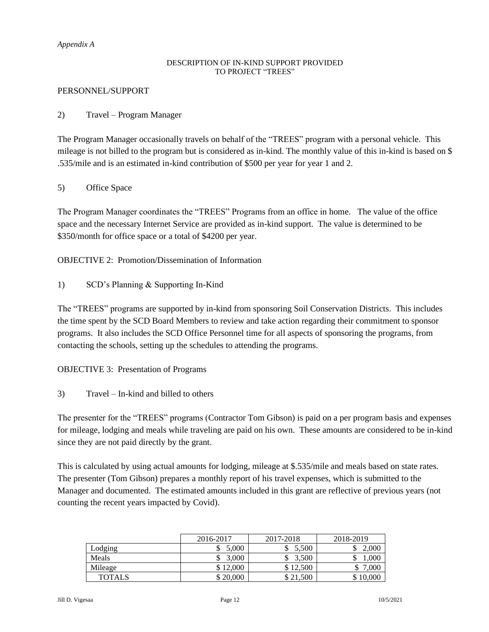#### *Appendix A*

#### DESCRIPTION OF IN-KIND SUPPORT PROVIDED TO PROJECT "TREES"

#### PERSONNEL/SUPPORT

## 2) Travel – Program Manager

The Program Manager occasionally travels on behalf of the "TREES" program with a personal vehicle. This mileage is not billed to the program but is considered as in-kind. The monthly value of this in-kind is based on \$ .535/mile and is an estimated in-kind contribution of \$500 per year for year 1 and 2.

## 5) Office Space

The Program Manager coordinates the "TREES" Programs from an office in home. The value of the office space and the necessary Internet Service are provided as in-kind support. The value is determined to be \$350/month for office space or a total of \$4200 per year.

OBJECTIVE 2: Promotion/Dissemination of Information

1) SCD's Planning & Supporting In-Kind

The "TREES" programs are supported by in-kind from sponsoring Soil Conservation Districts. This includes the time spent by the SCD Board Members to review and take action regarding their commitment to sponsor programs. It also includes the SCD Office Personnel time for all aspects of sponsoring the programs, from contacting the schools, setting up the schedules to attending the programs.

OBJECTIVE 3: Presentation of Programs

3) Travel – In-kind and billed to others

The presenter for the "TREES" programs (Contractor Tom Gibson) is paid on a per program basis and expenses for mileage, lodging and meals while traveling are paid on his own. These amounts are considered to be in-kind since they are not paid directly by the grant.

This is calculated by using actual amounts for lodging, mileage at \$.535/mile and meals based on state rates. The presenter (Tom Gibson) prepares a monthly report of his travel expenses, which is submitted to the Manager and documented. The estimated amounts included in this grant are reflective of previous years (not counting the recent years impacted by Covid).

|               | 2016-2017 | 2017-2018  | 2018-2019 |
|---------------|-----------|------------|-----------|
| Lodging       | 5.000     | 5.500<br>◡ | 2.000     |
| Meals         | 3.000     | 3.500      | .000      |
| Mileage       | \$12,000  | \$12,500   | .000      |
| <b>TOTALS</b> | \$20,000  | \$21,500   | \$10,000  |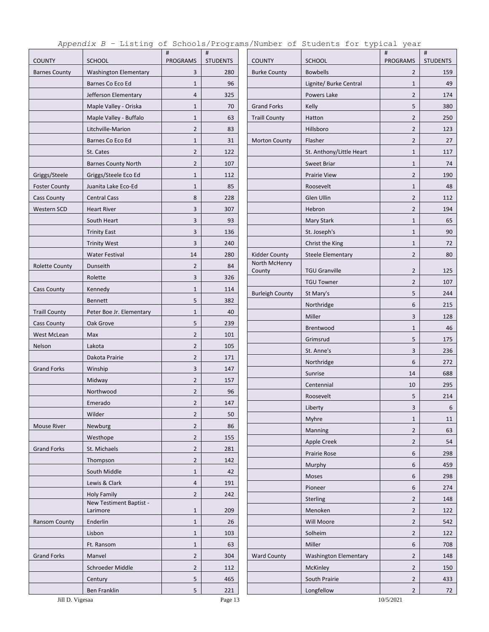|  |  | Appendix B - Listing of Schools/Programs/Number of Students for typical year |  |  |  |
|--|--|------------------------------------------------------------------------------|--|--|--|
|--|--|------------------------------------------------------------------------------|--|--|--|

| <b>COUNTY</b>         | <b>SCHOOL</b>                | #<br><b>PROGRAMS</b> | $\#$<br><b>STUDENTS</b> | <b>COUNTY</b>           | <b>SCHOOL</b>                | #<br><b>PROGRAMS</b> | $\#$<br><b>STUDENTS</b> |
|-----------------------|------------------------------|----------------------|-------------------------|-------------------------|------------------------------|----------------------|-------------------------|
| <b>Barnes County</b>  | <b>Washington Elementary</b> | 3                    | 280                     | <b>Burke County</b>     | <b>Bowbells</b>              | $\overline{2}$       | 159                     |
|                       | Barnes Co Eco Ed             | $\mathbf{1}$         | 96                      |                         | Lignite/ Burke Central       | $\mathbf{1}$         | 49                      |
|                       | Jefferson Elementary         | $\overline{4}$       | 325                     |                         | Powers Lake                  | $\overline{2}$       | 174                     |
|                       | Maple Valley - Oriska        | $\mathbf{1}$         | 70                      | <b>Grand Forks</b>      | Kelly                        | 5                    | 380                     |
|                       | Maple Valley - Buffalo       | $\mathbf{1}$         | 63                      | <b>Traill County</b>    | Hatton                       | $\overline{2}$       | 250                     |
|                       | Litchville-Marion            | $\overline{2}$       | 83                      |                         | Hillsboro                    | $\overline{2}$       | 123                     |
|                       | Barnes Co Eco Ed             | $\mathbf{1}$         | 31                      | <b>Morton County</b>    | Flasher                      | $\overline{2}$       | 27                      |
|                       | St. Cates                    | $\overline{2}$       | 122                     |                         | St. Anthony/Little Heart     | $\mathbf{1}$         | 117                     |
|                       |                              | $\overline{2}$       |                         |                         |                              |                      |                         |
|                       | <b>Barnes County North</b>   |                      | 107                     |                         | Sweet Briar                  | $\mathbf{1}$         | 74                      |
| Griggs/Steele         | Griggs/Steele Eco Ed         | $1\,$                | 112                     |                         | <b>Prairie View</b>          | $\overline{2}$       | 190                     |
| <b>Foster County</b>  | Juanita Lake Eco-Ed          | $\mathbf{1}$         | 85                      |                         | Roosevelt                    | $\mathbf{1}$         | 48                      |
| <b>Cass County</b>    | <b>Central Cass</b>          | 8                    | 228                     |                         | Glen Ullin                   | $\overline{2}$       | 112                     |
| Western SCD           | <b>Heart River</b>           | 3                    | 307                     |                         | Hebron                       | $\overline{2}$       | 194                     |
|                       | South Heart                  | 3                    | 93                      |                         | <b>Mary Stark</b>            | $\mathbf{1}$         | 65                      |
|                       | <b>Trinity East</b>          | 3                    | 136                     |                         | St. Joseph's                 | $\mathbf{1}$         | 90                      |
|                       | <b>Trinity West</b>          | 3                    | 240                     |                         | Christ the King              | $\mathbf{1}$         | 72                      |
|                       | <b>Water Festival</b>        | 14                   | 280                     | <b>Kidder County</b>    | Steele Elementary            | $\overline{2}$       | 80                      |
| <b>Rolette County</b> | Dunseith                     | $\overline{2}$       | 84                      | North McHenry<br>County | <b>TGU Granville</b>         | $\overline{2}$       | 125                     |
|                       | Rolette                      | 3                    | 326                     |                         | <b>TGU Towner</b>            | $\overline{2}$       | 107                     |
| <b>Cass County</b>    | Kennedy                      | $\mathbf 1$          | 114                     | <b>Burleigh County</b>  | St Mary's                    | 5                    | 244                     |
|                       | <b>Bennett</b>               | 5                    | 382                     |                         | Northridge                   | 6                    | 215                     |
| <b>Traill County</b>  | Peter Boe Jr. Elementary     | $1\,$                | 40                      |                         | Miller                       | 3                    | 128                     |
| <b>Cass County</b>    | Oak Grove                    | 5                    | 239                     |                         | Brentwood                    | $\mathbf{1}$         | 46                      |
| West McLean           | Max                          | $\overline{2}$       | 101                     |                         | Grimsrud                     | 5                    | 175                     |
| Nelson                | Lakota                       | $\overline{2}$       | 105                     |                         | St. Anne's                   | 3                    | 236                     |
|                       | Dakota Prairie               | $\overline{2}$       | 171                     |                         | Northridge                   | 6                    | 272                     |
| <b>Grand Forks</b>    | Winship                      | 3                    | 147                     |                         | Sunrise                      | 14                   | 688                     |
|                       | Midway                       | $\overline{2}$       | 157                     |                         |                              |                      |                         |
|                       | Northwood                    | $\overline{2}$       | 96                      |                         | Centennial                   | 10                   | 295                     |
|                       | Emerado                      | $\overline{2}$       | 147                     |                         | Roosevelt                    | 5                    | 214                     |
|                       | Wilder                       | $\overline{2}$       | 50                      |                         | Liberty                      | 3                    | 6                       |
| <b>Mouse River</b>    | Newburg                      | $\overline{2}$       | 86                      |                         | Myhre                        | $\mathbf{1}$         | 11                      |
|                       | Westhope                     | $\overline{2}$       | 155                     |                         | Manning                      | $\overline{2}$       | 63                      |
| <b>Grand Forks</b>    | St. Michaels                 | $\overline{2}$       | 281                     |                         | Apple Creek                  | $\overline{2}$       | 54                      |
|                       | Thompson                     | $\overline{2}$       | 142                     |                         | Prairie Rose                 | 6                    | 298                     |
|                       | South Middle                 | $\mathbf{1}$         | 42                      |                         | Murphy                       | 6                    | 459                     |
|                       | Lewis & Clark                | $\overline{4}$       | 191                     |                         | Moses                        | 6                    | 298                     |
|                       | <b>Holy Family</b>           | $\overline{2}$       | 242                     |                         | Pioneer                      | 6                    | 274                     |
|                       | New Testiment Baptist -      |                      |                         |                         | Sterling                     | $\overline{2}$       | 148                     |
|                       | Larimore                     | $\mathbf{1}$         | 209                     |                         | Menoken                      | $\overline{2}$       | 122                     |
| Ransom County         | Enderlin                     | $1\,$                | 26                      |                         | Will Moore                   | $\overline{2}$       | 542                     |
|                       | Lisbon                       | $1\,$                | 103                     |                         | Solheim                      | $\overline{2}$       | 122                     |
|                       | Ft. Ransom                   | $\mathbf{1}$         | 63                      |                         | Miller                       | 6                    | 708                     |
| <b>Grand Forks</b>    | Manvel                       | $\overline{2}$       | 304                     | <b>Ward County</b>      | <b>Washington Elementary</b> | $\overline{2}$       | 148                     |
|                       | Schroeder Middle             | $\overline{2}$       | 112                     |                         | McKinley                     | $\overline{2}$       | 150                     |
|                       | Century                      | 5                    | 465                     |                         | South Prairie                | $\overline{2}$       | 433                     |
|                       | Ben Franklin                 | 5                    | 221                     |                         | Longfellow                   | $\overline{2}$       | 72                      |
| Jill D. Vigesaa       |                              |                      | Page 13                 |                         |                              | 10/5/2021            |                         |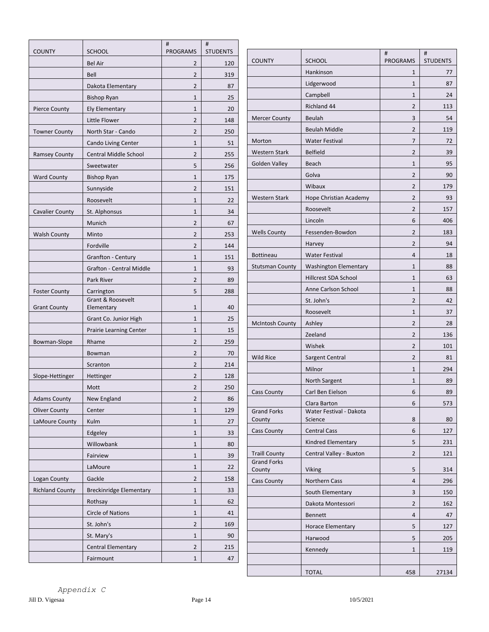| <b>SCHOOL</b><br><b>PROGRAMS</b><br><b>STUDENTS</b><br><b>COUNTY</b><br>#<br>#<br><b>COUNTY</b><br><b>SCHOOL</b><br>PROGRAMS<br>$\overline{2}$<br><b>Bel Air</b><br>120<br>Hankinson<br>1<br>Bell<br>$\overline{2}$<br>319<br>Lidgerwood<br>$\mathbf{1}$<br>$\overline{2}$<br>Dakota Elementary<br>87<br>Campbell<br>$\mathbf{1}$<br>25<br><b>Bishop Ryan</b><br>$\mathbf{1}$<br>Richland 44<br>$\overline{2}$<br><b>Ely Elementary</b><br>$\mathbf{1}$<br>20<br><b>Pierce County</b><br>3<br>Beulah<br><b>Mercer County</b><br>Little Flower<br>$\overline{2}$<br>148<br>$\overline{2}$<br><b>Beulah Middle</b><br>$\overline{2}$<br>North Star - Cando<br>250<br><b>Towner County</b><br>$\overline{7}$<br>Morton<br><b>Water Festival</b><br>51<br>Cando Living Center<br>$\mathbf{1}$<br><b>Belfield</b><br>$\overline{2}$<br><b>Western Stark</b><br><b>Central Middle School</b><br>$\overline{2}$<br><b>Ramsey County</b><br>255<br>Golden Valley<br>Beach<br>$\mathbf{1}$<br>5<br>256<br>Sweetwater<br>Golva<br>$\overline{2}$<br>$1\,$<br>175<br><b>Ward County</b><br><b>Bishop Ryan</b><br>$\overline{2}$<br>Wibaux<br>$\overline{2}$<br>Sunnyside<br>151<br>$\overline{2}$<br><b>Western Stark</b><br>Hope Christian Academy<br>Roosevelt<br>$\mathbf{1}$<br>22<br>$\overline{2}$<br>Roosevelt<br>St. Alphonsus<br>$\mathbf{1}$<br>34<br><b>Cavalier County</b><br>6<br>Lincoln<br>$\overline{2}$<br>Munich<br>67<br>Fessenden-Bowdon<br>$\overline{2}$<br><b>Wells County</b><br>$\overline{2}$<br><b>Walsh County</b><br>Minto<br>253<br>$\overline{2}$<br>Harvey<br>Fordville<br>$\overline{2}$<br>144<br><b>Bottineau</b><br><b>Water Festival</b><br>$\overline{4}$<br>Granfton - Century<br>$\mathbf{1}$<br>151<br><b>Stutsman County</b><br><b>Washington Elementary</b><br>$\mathbf{1}$<br><b>Grafton - Central Middle</b><br>93<br>$\mathbf{1}$<br>Hillcrest SDA School<br>$\mathbf{1}$<br>Park River<br>$\overline{2}$<br>89<br>Anne Carlson School<br>$\mathbf{1}$<br>5<br>288<br><b>Foster County</b><br>Carrington<br>Grant & Roosevelt<br>$\overline{2}$<br>St. John's<br><b>Grant County</b><br>Elementary<br>$\mathbf{1}$<br>40<br>Roosevelt<br>$\mathbf{1}$<br>$\mathbf{1}$<br>Grant Co. Junior High<br>25<br>Ashley<br>$\overline{2}$<br><b>McIntosh County</b><br>$\mathbf{1}$<br>15<br><b>Prairie Learning Center</b><br>$\overline{2}$<br>Zeeland<br>$\overline{2}$<br>259<br>Rhame<br>Bowman-Slope<br>Wishek<br>$\overline{2}$<br>$\overline{2}$<br>70<br>Bowman<br>$\overline{2}$<br>Wild Rice<br>Sargent Central<br>$\overline{2}$<br>214<br>Scranton<br>Milnor<br>$\mathbf{1}$<br>$\overline{2}$<br>128<br>Slope-Hettinger<br>Hettinger<br>North Sargent<br>$\mathbf{1}$<br>$\overline{2}$<br>Mott<br>250<br>6<br><b>Cass County</b><br>Carl Ben Eielson<br><b>Adams County</b><br>$\overline{2}$<br>86<br>New England<br>Clara Barton<br>6<br>129<br><b>Oliver County</b><br>Center<br>$\mathbf{1}$<br><b>Grand Forks</b><br>Water Festival - Dakota<br>Science<br>8<br>County<br>Kulm<br>$\mathbf{1}$<br>LaMoure County<br>27<br><b>Central Cass</b><br><b>Cass County</b><br>6<br>33<br>Edgeley<br>$\mathbf{1}$<br>Kindred Elementary<br>5<br>Willowbank<br>$\mathbf{1}$<br>80<br><b>Traill County</b><br>$\overline{2}$<br>Central Valley - Buxton<br>Fairview<br>$\mathbf{1}$<br>39<br><b>Grand Forks</b><br>LaMoure<br>$\mathbf{1}$<br>22<br>Viking<br>5<br>County<br>$\overline{2}$<br>Logan County<br>Gackle<br>158<br>Northern Cass<br><b>Cass County</b><br>4<br><b>Richland County</b><br><b>Breckinridge Elementary</b><br>33<br>$\mathbf{1}$<br>3<br>South Elementary<br>Rothsay<br>$\mathbf{1}$<br>62<br>$\overline{2}$<br>Dakota Montessori<br><b>Circle of Nations</b><br>$\mathbf{1}$<br>41<br>Bennett<br>4<br>St. John's<br>$\overline{2}$<br>169<br>5<br><b>Horace Elementary</b><br>St. Mary's<br>$\mathbf{1}$<br>90<br>Harwood<br>5<br>$\overline{2}$<br>Central Elementary<br>215<br>Kennedy<br>$\mathbf{1}$ |           | #            | #  |  |                 |
|-------------------------------------------------------------------------------------------------------------------------------------------------------------------------------------------------------------------------------------------------------------------------------------------------------------------------------------------------------------------------------------------------------------------------------------------------------------------------------------------------------------------------------------------------------------------------------------------------------------------------------------------------------------------------------------------------------------------------------------------------------------------------------------------------------------------------------------------------------------------------------------------------------------------------------------------------------------------------------------------------------------------------------------------------------------------------------------------------------------------------------------------------------------------------------------------------------------------------------------------------------------------------------------------------------------------------------------------------------------------------------------------------------------------------------------------------------------------------------------------------------------------------------------------------------------------------------------------------------------------------------------------------------------------------------------------------------------------------------------------------------------------------------------------------------------------------------------------------------------------------------------------------------------------------------------------------------------------------------------------------------------------------------------------------------------------------------------------------------------------------------------------------------------------------------------------------------------------------------------------------------------------------------------------------------------------------------------------------------------------------------------------------------------------------------------------------------------------------------------------------------------------------------------------------------------------------------------------------------------------------------------------------------------------------------------------------------------------------------------------------------------------------------------------------------------------------------------------------------------------------------------------------------------------------------------------------------------------------------------------------------------------------------------------------------------------------------------------------------------------------------------------------------------------------------------------------------------------------------------------------------------------------------------------------------------------------------------------------------------------------------------------------------------------------------------------------------------------------------------------------------------------------------------------------------------------------------------------------------------------------------------------------------------------------------------------------------------------------------------------------------------------------------------------------------------------------------------------------------------------------------------------------------------------------------------------------------------------------|-----------|--------------|----|--|-----------------|
|                                                                                                                                                                                                                                                                                                                                                                                                                                                                                                                                                                                                                                                                                                                                                                                                                                                                                                                                                                                                                                                                                                                                                                                                                                                                                                                                                                                                                                                                                                                                                                                                                                                                                                                                                                                                                                                                                                                                                                                                                                                                                                                                                                                                                                                                                                                                                                                                                                                                                                                                                                                                                                                                                                                                                                                                                                                                                                                                                                                                                                                                                                                                                                                                                                                                                                                                                                                                                                                                                                                                                                                                                                                                                                                                                                                                                                                                                                                                                                         |           |              |    |  | <b>STUDENTS</b> |
|                                                                                                                                                                                                                                                                                                                                                                                                                                                                                                                                                                                                                                                                                                                                                                                                                                                                                                                                                                                                                                                                                                                                                                                                                                                                                                                                                                                                                                                                                                                                                                                                                                                                                                                                                                                                                                                                                                                                                                                                                                                                                                                                                                                                                                                                                                                                                                                                                                                                                                                                                                                                                                                                                                                                                                                                                                                                                                                                                                                                                                                                                                                                                                                                                                                                                                                                                                                                                                                                                                                                                                                                                                                                                                                                                                                                                                                                                                                                                                         |           |              |    |  | 77              |
|                                                                                                                                                                                                                                                                                                                                                                                                                                                                                                                                                                                                                                                                                                                                                                                                                                                                                                                                                                                                                                                                                                                                                                                                                                                                                                                                                                                                                                                                                                                                                                                                                                                                                                                                                                                                                                                                                                                                                                                                                                                                                                                                                                                                                                                                                                                                                                                                                                                                                                                                                                                                                                                                                                                                                                                                                                                                                                                                                                                                                                                                                                                                                                                                                                                                                                                                                                                                                                                                                                                                                                                                                                                                                                                                                                                                                                                                                                                                                                         |           |              |    |  | 87              |
|                                                                                                                                                                                                                                                                                                                                                                                                                                                                                                                                                                                                                                                                                                                                                                                                                                                                                                                                                                                                                                                                                                                                                                                                                                                                                                                                                                                                                                                                                                                                                                                                                                                                                                                                                                                                                                                                                                                                                                                                                                                                                                                                                                                                                                                                                                                                                                                                                                                                                                                                                                                                                                                                                                                                                                                                                                                                                                                                                                                                                                                                                                                                                                                                                                                                                                                                                                                                                                                                                                                                                                                                                                                                                                                                                                                                                                                                                                                                                                         |           |              |    |  | 24              |
|                                                                                                                                                                                                                                                                                                                                                                                                                                                                                                                                                                                                                                                                                                                                                                                                                                                                                                                                                                                                                                                                                                                                                                                                                                                                                                                                                                                                                                                                                                                                                                                                                                                                                                                                                                                                                                                                                                                                                                                                                                                                                                                                                                                                                                                                                                                                                                                                                                                                                                                                                                                                                                                                                                                                                                                                                                                                                                                                                                                                                                                                                                                                                                                                                                                                                                                                                                                                                                                                                                                                                                                                                                                                                                                                                                                                                                                                                                                                                                         |           |              |    |  | 113             |
|                                                                                                                                                                                                                                                                                                                                                                                                                                                                                                                                                                                                                                                                                                                                                                                                                                                                                                                                                                                                                                                                                                                                                                                                                                                                                                                                                                                                                                                                                                                                                                                                                                                                                                                                                                                                                                                                                                                                                                                                                                                                                                                                                                                                                                                                                                                                                                                                                                                                                                                                                                                                                                                                                                                                                                                                                                                                                                                                                                                                                                                                                                                                                                                                                                                                                                                                                                                                                                                                                                                                                                                                                                                                                                                                                                                                                                                                                                                                                                         |           |              |    |  | 54              |
|                                                                                                                                                                                                                                                                                                                                                                                                                                                                                                                                                                                                                                                                                                                                                                                                                                                                                                                                                                                                                                                                                                                                                                                                                                                                                                                                                                                                                                                                                                                                                                                                                                                                                                                                                                                                                                                                                                                                                                                                                                                                                                                                                                                                                                                                                                                                                                                                                                                                                                                                                                                                                                                                                                                                                                                                                                                                                                                                                                                                                                                                                                                                                                                                                                                                                                                                                                                                                                                                                                                                                                                                                                                                                                                                                                                                                                                                                                                                                                         |           |              |    |  | 119             |
|                                                                                                                                                                                                                                                                                                                                                                                                                                                                                                                                                                                                                                                                                                                                                                                                                                                                                                                                                                                                                                                                                                                                                                                                                                                                                                                                                                                                                                                                                                                                                                                                                                                                                                                                                                                                                                                                                                                                                                                                                                                                                                                                                                                                                                                                                                                                                                                                                                                                                                                                                                                                                                                                                                                                                                                                                                                                                                                                                                                                                                                                                                                                                                                                                                                                                                                                                                                                                                                                                                                                                                                                                                                                                                                                                                                                                                                                                                                                                                         |           |              |    |  | 72              |
|                                                                                                                                                                                                                                                                                                                                                                                                                                                                                                                                                                                                                                                                                                                                                                                                                                                                                                                                                                                                                                                                                                                                                                                                                                                                                                                                                                                                                                                                                                                                                                                                                                                                                                                                                                                                                                                                                                                                                                                                                                                                                                                                                                                                                                                                                                                                                                                                                                                                                                                                                                                                                                                                                                                                                                                                                                                                                                                                                                                                                                                                                                                                                                                                                                                                                                                                                                                                                                                                                                                                                                                                                                                                                                                                                                                                                                                                                                                                                                         |           |              |    |  | 39              |
|                                                                                                                                                                                                                                                                                                                                                                                                                                                                                                                                                                                                                                                                                                                                                                                                                                                                                                                                                                                                                                                                                                                                                                                                                                                                                                                                                                                                                                                                                                                                                                                                                                                                                                                                                                                                                                                                                                                                                                                                                                                                                                                                                                                                                                                                                                                                                                                                                                                                                                                                                                                                                                                                                                                                                                                                                                                                                                                                                                                                                                                                                                                                                                                                                                                                                                                                                                                                                                                                                                                                                                                                                                                                                                                                                                                                                                                                                                                                                                         |           |              |    |  | 95              |
|                                                                                                                                                                                                                                                                                                                                                                                                                                                                                                                                                                                                                                                                                                                                                                                                                                                                                                                                                                                                                                                                                                                                                                                                                                                                                                                                                                                                                                                                                                                                                                                                                                                                                                                                                                                                                                                                                                                                                                                                                                                                                                                                                                                                                                                                                                                                                                                                                                                                                                                                                                                                                                                                                                                                                                                                                                                                                                                                                                                                                                                                                                                                                                                                                                                                                                                                                                                                                                                                                                                                                                                                                                                                                                                                                                                                                                                                                                                                                                         |           |              |    |  | 90              |
|                                                                                                                                                                                                                                                                                                                                                                                                                                                                                                                                                                                                                                                                                                                                                                                                                                                                                                                                                                                                                                                                                                                                                                                                                                                                                                                                                                                                                                                                                                                                                                                                                                                                                                                                                                                                                                                                                                                                                                                                                                                                                                                                                                                                                                                                                                                                                                                                                                                                                                                                                                                                                                                                                                                                                                                                                                                                                                                                                                                                                                                                                                                                                                                                                                                                                                                                                                                                                                                                                                                                                                                                                                                                                                                                                                                                                                                                                                                                                                         |           |              |    |  | 179             |
|                                                                                                                                                                                                                                                                                                                                                                                                                                                                                                                                                                                                                                                                                                                                                                                                                                                                                                                                                                                                                                                                                                                                                                                                                                                                                                                                                                                                                                                                                                                                                                                                                                                                                                                                                                                                                                                                                                                                                                                                                                                                                                                                                                                                                                                                                                                                                                                                                                                                                                                                                                                                                                                                                                                                                                                                                                                                                                                                                                                                                                                                                                                                                                                                                                                                                                                                                                                                                                                                                                                                                                                                                                                                                                                                                                                                                                                                                                                                                                         |           |              |    |  | 93              |
|                                                                                                                                                                                                                                                                                                                                                                                                                                                                                                                                                                                                                                                                                                                                                                                                                                                                                                                                                                                                                                                                                                                                                                                                                                                                                                                                                                                                                                                                                                                                                                                                                                                                                                                                                                                                                                                                                                                                                                                                                                                                                                                                                                                                                                                                                                                                                                                                                                                                                                                                                                                                                                                                                                                                                                                                                                                                                                                                                                                                                                                                                                                                                                                                                                                                                                                                                                                                                                                                                                                                                                                                                                                                                                                                                                                                                                                                                                                                                                         |           |              |    |  |                 |
|                                                                                                                                                                                                                                                                                                                                                                                                                                                                                                                                                                                                                                                                                                                                                                                                                                                                                                                                                                                                                                                                                                                                                                                                                                                                                                                                                                                                                                                                                                                                                                                                                                                                                                                                                                                                                                                                                                                                                                                                                                                                                                                                                                                                                                                                                                                                                                                                                                                                                                                                                                                                                                                                                                                                                                                                                                                                                                                                                                                                                                                                                                                                                                                                                                                                                                                                                                                                                                                                                                                                                                                                                                                                                                                                                                                                                                                                                                                                                                         |           |              |    |  | 157             |
|                                                                                                                                                                                                                                                                                                                                                                                                                                                                                                                                                                                                                                                                                                                                                                                                                                                                                                                                                                                                                                                                                                                                                                                                                                                                                                                                                                                                                                                                                                                                                                                                                                                                                                                                                                                                                                                                                                                                                                                                                                                                                                                                                                                                                                                                                                                                                                                                                                                                                                                                                                                                                                                                                                                                                                                                                                                                                                                                                                                                                                                                                                                                                                                                                                                                                                                                                                                                                                                                                                                                                                                                                                                                                                                                                                                                                                                                                                                                                                         |           |              |    |  | 406             |
|                                                                                                                                                                                                                                                                                                                                                                                                                                                                                                                                                                                                                                                                                                                                                                                                                                                                                                                                                                                                                                                                                                                                                                                                                                                                                                                                                                                                                                                                                                                                                                                                                                                                                                                                                                                                                                                                                                                                                                                                                                                                                                                                                                                                                                                                                                                                                                                                                                                                                                                                                                                                                                                                                                                                                                                                                                                                                                                                                                                                                                                                                                                                                                                                                                                                                                                                                                                                                                                                                                                                                                                                                                                                                                                                                                                                                                                                                                                                                                         |           |              |    |  | 183             |
|                                                                                                                                                                                                                                                                                                                                                                                                                                                                                                                                                                                                                                                                                                                                                                                                                                                                                                                                                                                                                                                                                                                                                                                                                                                                                                                                                                                                                                                                                                                                                                                                                                                                                                                                                                                                                                                                                                                                                                                                                                                                                                                                                                                                                                                                                                                                                                                                                                                                                                                                                                                                                                                                                                                                                                                                                                                                                                                                                                                                                                                                                                                                                                                                                                                                                                                                                                                                                                                                                                                                                                                                                                                                                                                                                                                                                                                                                                                                                                         |           |              |    |  | 94              |
|                                                                                                                                                                                                                                                                                                                                                                                                                                                                                                                                                                                                                                                                                                                                                                                                                                                                                                                                                                                                                                                                                                                                                                                                                                                                                                                                                                                                                                                                                                                                                                                                                                                                                                                                                                                                                                                                                                                                                                                                                                                                                                                                                                                                                                                                                                                                                                                                                                                                                                                                                                                                                                                                                                                                                                                                                                                                                                                                                                                                                                                                                                                                                                                                                                                                                                                                                                                                                                                                                                                                                                                                                                                                                                                                                                                                                                                                                                                                                                         |           |              |    |  | 18              |
|                                                                                                                                                                                                                                                                                                                                                                                                                                                                                                                                                                                                                                                                                                                                                                                                                                                                                                                                                                                                                                                                                                                                                                                                                                                                                                                                                                                                                                                                                                                                                                                                                                                                                                                                                                                                                                                                                                                                                                                                                                                                                                                                                                                                                                                                                                                                                                                                                                                                                                                                                                                                                                                                                                                                                                                                                                                                                                                                                                                                                                                                                                                                                                                                                                                                                                                                                                                                                                                                                                                                                                                                                                                                                                                                                                                                                                                                                                                                                                         |           |              |    |  | 88              |
|                                                                                                                                                                                                                                                                                                                                                                                                                                                                                                                                                                                                                                                                                                                                                                                                                                                                                                                                                                                                                                                                                                                                                                                                                                                                                                                                                                                                                                                                                                                                                                                                                                                                                                                                                                                                                                                                                                                                                                                                                                                                                                                                                                                                                                                                                                                                                                                                                                                                                                                                                                                                                                                                                                                                                                                                                                                                                                                                                                                                                                                                                                                                                                                                                                                                                                                                                                                                                                                                                                                                                                                                                                                                                                                                                                                                                                                                                                                                                                         |           |              |    |  | 63              |
|                                                                                                                                                                                                                                                                                                                                                                                                                                                                                                                                                                                                                                                                                                                                                                                                                                                                                                                                                                                                                                                                                                                                                                                                                                                                                                                                                                                                                                                                                                                                                                                                                                                                                                                                                                                                                                                                                                                                                                                                                                                                                                                                                                                                                                                                                                                                                                                                                                                                                                                                                                                                                                                                                                                                                                                                                                                                                                                                                                                                                                                                                                                                                                                                                                                                                                                                                                                                                                                                                                                                                                                                                                                                                                                                                                                                                                                                                                                                                                         |           |              |    |  | 88              |
|                                                                                                                                                                                                                                                                                                                                                                                                                                                                                                                                                                                                                                                                                                                                                                                                                                                                                                                                                                                                                                                                                                                                                                                                                                                                                                                                                                                                                                                                                                                                                                                                                                                                                                                                                                                                                                                                                                                                                                                                                                                                                                                                                                                                                                                                                                                                                                                                                                                                                                                                                                                                                                                                                                                                                                                                                                                                                                                                                                                                                                                                                                                                                                                                                                                                                                                                                                                                                                                                                                                                                                                                                                                                                                                                                                                                                                                                                                                                                                         |           |              |    |  | 42              |
|                                                                                                                                                                                                                                                                                                                                                                                                                                                                                                                                                                                                                                                                                                                                                                                                                                                                                                                                                                                                                                                                                                                                                                                                                                                                                                                                                                                                                                                                                                                                                                                                                                                                                                                                                                                                                                                                                                                                                                                                                                                                                                                                                                                                                                                                                                                                                                                                                                                                                                                                                                                                                                                                                                                                                                                                                                                                                                                                                                                                                                                                                                                                                                                                                                                                                                                                                                                                                                                                                                                                                                                                                                                                                                                                                                                                                                                                                                                                                                         |           |              |    |  | 37              |
|                                                                                                                                                                                                                                                                                                                                                                                                                                                                                                                                                                                                                                                                                                                                                                                                                                                                                                                                                                                                                                                                                                                                                                                                                                                                                                                                                                                                                                                                                                                                                                                                                                                                                                                                                                                                                                                                                                                                                                                                                                                                                                                                                                                                                                                                                                                                                                                                                                                                                                                                                                                                                                                                                                                                                                                                                                                                                                                                                                                                                                                                                                                                                                                                                                                                                                                                                                                                                                                                                                                                                                                                                                                                                                                                                                                                                                                                                                                                                                         |           |              |    |  | 28              |
|                                                                                                                                                                                                                                                                                                                                                                                                                                                                                                                                                                                                                                                                                                                                                                                                                                                                                                                                                                                                                                                                                                                                                                                                                                                                                                                                                                                                                                                                                                                                                                                                                                                                                                                                                                                                                                                                                                                                                                                                                                                                                                                                                                                                                                                                                                                                                                                                                                                                                                                                                                                                                                                                                                                                                                                                                                                                                                                                                                                                                                                                                                                                                                                                                                                                                                                                                                                                                                                                                                                                                                                                                                                                                                                                                                                                                                                                                                                                                                         |           |              |    |  | 136             |
|                                                                                                                                                                                                                                                                                                                                                                                                                                                                                                                                                                                                                                                                                                                                                                                                                                                                                                                                                                                                                                                                                                                                                                                                                                                                                                                                                                                                                                                                                                                                                                                                                                                                                                                                                                                                                                                                                                                                                                                                                                                                                                                                                                                                                                                                                                                                                                                                                                                                                                                                                                                                                                                                                                                                                                                                                                                                                                                                                                                                                                                                                                                                                                                                                                                                                                                                                                                                                                                                                                                                                                                                                                                                                                                                                                                                                                                                                                                                                                         |           |              |    |  | 101             |
|                                                                                                                                                                                                                                                                                                                                                                                                                                                                                                                                                                                                                                                                                                                                                                                                                                                                                                                                                                                                                                                                                                                                                                                                                                                                                                                                                                                                                                                                                                                                                                                                                                                                                                                                                                                                                                                                                                                                                                                                                                                                                                                                                                                                                                                                                                                                                                                                                                                                                                                                                                                                                                                                                                                                                                                                                                                                                                                                                                                                                                                                                                                                                                                                                                                                                                                                                                                                                                                                                                                                                                                                                                                                                                                                                                                                                                                                                                                                                                         |           |              |    |  | 81              |
|                                                                                                                                                                                                                                                                                                                                                                                                                                                                                                                                                                                                                                                                                                                                                                                                                                                                                                                                                                                                                                                                                                                                                                                                                                                                                                                                                                                                                                                                                                                                                                                                                                                                                                                                                                                                                                                                                                                                                                                                                                                                                                                                                                                                                                                                                                                                                                                                                                                                                                                                                                                                                                                                                                                                                                                                                                                                                                                                                                                                                                                                                                                                                                                                                                                                                                                                                                                                                                                                                                                                                                                                                                                                                                                                                                                                                                                                                                                                                                         |           |              |    |  | 294             |
|                                                                                                                                                                                                                                                                                                                                                                                                                                                                                                                                                                                                                                                                                                                                                                                                                                                                                                                                                                                                                                                                                                                                                                                                                                                                                                                                                                                                                                                                                                                                                                                                                                                                                                                                                                                                                                                                                                                                                                                                                                                                                                                                                                                                                                                                                                                                                                                                                                                                                                                                                                                                                                                                                                                                                                                                                                                                                                                                                                                                                                                                                                                                                                                                                                                                                                                                                                                                                                                                                                                                                                                                                                                                                                                                                                                                                                                                                                                                                                         |           |              |    |  | 89              |
|                                                                                                                                                                                                                                                                                                                                                                                                                                                                                                                                                                                                                                                                                                                                                                                                                                                                                                                                                                                                                                                                                                                                                                                                                                                                                                                                                                                                                                                                                                                                                                                                                                                                                                                                                                                                                                                                                                                                                                                                                                                                                                                                                                                                                                                                                                                                                                                                                                                                                                                                                                                                                                                                                                                                                                                                                                                                                                                                                                                                                                                                                                                                                                                                                                                                                                                                                                                                                                                                                                                                                                                                                                                                                                                                                                                                                                                                                                                                                                         |           |              |    |  | 89              |
|                                                                                                                                                                                                                                                                                                                                                                                                                                                                                                                                                                                                                                                                                                                                                                                                                                                                                                                                                                                                                                                                                                                                                                                                                                                                                                                                                                                                                                                                                                                                                                                                                                                                                                                                                                                                                                                                                                                                                                                                                                                                                                                                                                                                                                                                                                                                                                                                                                                                                                                                                                                                                                                                                                                                                                                                                                                                                                                                                                                                                                                                                                                                                                                                                                                                                                                                                                                                                                                                                                                                                                                                                                                                                                                                                                                                                                                                                                                                                                         |           |              |    |  | 573             |
|                                                                                                                                                                                                                                                                                                                                                                                                                                                                                                                                                                                                                                                                                                                                                                                                                                                                                                                                                                                                                                                                                                                                                                                                                                                                                                                                                                                                                                                                                                                                                                                                                                                                                                                                                                                                                                                                                                                                                                                                                                                                                                                                                                                                                                                                                                                                                                                                                                                                                                                                                                                                                                                                                                                                                                                                                                                                                                                                                                                                                                                                                                                                                                                                                                                                                                                                                                                                                                                                                                                                                                                                                                                                                                                                                                                                                                                                                                                                                                         |           |              |    |  | 80              |
|                                                                                                                                                                                                                                                                                                                                                                                                                                                                                                                                                                                                                                                                                                                                                                                                                                                                                                                                                                                                                                                                                                                                                                                                                                                                                                                                                                                                                                                                                                                                                                                                                                                                                                                                                                                                                                                                                                                                                                                                                                                                                                                                                                                                                                                                                                                                                                                                                                                                                                                                                                                                                                                                                                                                                                                                                                                                                                                                                                                                                                                                                                                                                                                                                                                                                                                                                                                                                                                                                                                                                                                                                                                                                                                                                                                                                                                                                                                                                                         |           |              |    |  | 127             |
|                                                                                                                                                                                                                                                                                                                                                                                                                                                                                                                                                                                                                                                                                                                                                                                                                                                                                                                                                                                                                                                                                                                                                                                                                                                                                                                                                                                                                                                                                                                                                                                                                                                                                                                                                                                                                                                                                                                                                                                                                                                                                                                                                                                                                                                                                                                                                                                                                                                                                                                                                                                                                                                                                                                                                                                                                                                                                                                                                                                                                                                                                                                                                                                                                                                                                                                                                                                                                                                                                                                                                                                                                                                                                                                                                                                                                                                                                                                                                                         |           |              |    |  | 231             |
|                                                                                                                                                                                                                                                                                                                                                                                                                                                                                                                                                                                                                                                                                                                                                                                                                                                                                                                                                                                                                                                                                                                                                                                                                                                                                                                                                                                                                                                                                                                                                                                                                                                                                                                                                                                                                                                                                                                                                                                                                                                                                                                                                                                                                                                                                                                                                                                                                                                                                                                                                                                                                                                                                                                                                                                                                                                                                                                                                                                                                                                                                                                                                                                                                                                                                                                                                                                                                                                                                                                                                                                                                                                                                                                                                                                                                                                                                                                                                                         |           |              |    |  | 121             |
|                                                                                                                                                                                                                                                                                                                                                                                                                                                                                                                                                                                                                                                                                                                                                                                                                                                                                                                                                                                                                                                                                                                                                                                                                                                                                                                                                                                                                                                                                                                                                                                                                                                                                                                                                                                                                                                                                                                                                                                                                                                                                                                                                                                                                                                                                                                                                                                                                                                                                                                                                                                                                                                                                                                                                                                                                                                                                                                                                                                                                                                                                                                                                                                                                                                                                                                                                                                                                                                                                                                                                                                                                                                                                                                                                                                                                                                                                                                                                                         |           |              |    |  |                 |
|                                                                                                                                                                                                                                                                                                                                                                                                                                                                                                                                                                                                                                                                                                                                                                                                                                                                                                                                                                                                                                                                                                                                                                                                                                                                                                                                                                                                                                                                                                                                                                                                                                                                                                                                                                                                                                                                                                                                                                                                                                                                                                                                                                                                                                                                                                                                                                                                                                                                                                                                                                                                                                                                                                                                                                                                                                                                                                                                                                                                                                                                                                                                                                                                                                                                                                                                                                                                                                                                                                                                                                                                                                                                                                                                                                                                                                                                                                                                                                         |           |              |    |  | 314             |
|                                                                                                                                                                                                                                                                                                                                                                                                                                                                                                                                                                                                                                                                                                                                                                                                                                                                                                                                                                                                                                                                                                                                                                                                                                                                                                                                                                                                                                                                                                                                                                                                                                                                                                                                                                                                                                                                                                                                                                                                                                                                                                                                                                                                                                                                                                                                                                                                                                                                                                                                                                                                                                                                                                                                                                                                                                                                                                                                                                                                                                                                                                                                                                                                                                                                                                                                                                                                                                                                                                                                                                                                                                                                                                                                                                                                                                                                                                                                                                         |           |              |    |  | 296             |
|                                                                                                                                                                                                                                                                                                                                                                                                                                                                                                                                                                                                                                                                                                                                                                                                                                                                                                                                                                                                                                                                                                                                                                                                                                                                                                                                                                                                                                                                                                                                                                                                                                                                                                                                                                                                                                                                                                                                                                                                                                                                                                                                                                                                                                                                                                                                                                                                                                                                                                                                                                                                                                                                                                                                                                                                                                                                                                                                                                                                                                                                                                                                                                                                                                                                                                                                                                                                                                                                                                                                                                                                                                                                                                                                                                                                                                                                                                                                                                         |           |              |    |  | 150             |
|                                                                                                                                                                                                                                                                                                                                                                                                                                                                                                                                                                                                                                                                                                                                                                                                                                                                                                                                                                                                                                                                                                                                                                                                                                                                                                                                                                                                                                                                                                                                                                                                                                                                                                                                                                                                                                                                                                                                                                                                                                                                                                                                                                                                                                                                                                                                                                                                                                                                                                                                                                                                                                                                                                                                                                                                                                                                                                                                                                                                                                                                                                                                                                                                                                                                                                                                                                                                                                                                                                                                                                                                                                                                                                                                                                                                                                                                                                                                                                         |           |              |    |  | 162             |
|                                                                                                                                                                                                                                                                                                                                                                                                                                                                                                                                                                                                                                                                                                                                                                                                                                                                                                                                                                                                                                                                                                                                                                                                                                                                                                                                                                                                                                                                                                                                                                                                                                                                                                                                                                                                                                                                                                                                                                                                                                                                                                                                                                                                                                                                                                                                                                                                                                                                                                                                                                                                                                                                                                                                                                                                                                                                                                                                                                                                                                                                                                                                                                                                                                                                                                                                                                                                                                                                                                                                                                                                                                                                                                                                                                                                                                                                                                                                                                         |           |              |    |  | 47              |
|                                                                                                                                                                                                                                                                                                                                                                                                                                                                                                                                                                                                                                                                                                                                                                                                                                                                                                                                                                                                                                                                                                                                                                                                                                                                                                                                                                                                                                                                                                                                                                                                                                                                                                                                                                                                                                                                                                                                                                                                                                                                                                                                                                                                                                                                                                                                                                                                                                                                                                                                                                                                                                                                                                                                                                                                                                                                                                                                                                                                                                                                                                                                                                                                                                                                                                                                                                                                                                                                                                                                                                                                                                                                                                                                                                                                                                                                                                                                                                         |           |              |    |  | 127             |
|                                                                                                                                                                                                                                                                                                                                                                                                                                                                                                                                                                                                                                                                                                                                                                                                                                                                                                                                                                                                                                                                                                                                                                                                                                                                                                                                                                                                                                                                                                                                                                                                                                                                                                                                                                                                                                                                                                                                                                                                                                                                                                                                                                                                                                                                                                                                                                                                                                                                                                                                                                                                                                                                                                                                                                                                                                                                                                                                                                                                                                                                                                                                                                                                                                                                                                                                                                                                                                                                                                                                                                                                                                                                                                                                                                                                                                                                                                                                                                         |           |              |    |  | 205             |
|                                                                                                                                                                                                                                                                                                                                                                                                                                                                                                                                                                                                                                                                                                                                                                                                                                                                                                                                                                                                                                                                                                                                                                                                                                                                                                                                                                                                                                                                                                                                                                                                                                                                                                                                                                                                                                                                                                                                                                                                                                                                                                                                                                                                                                                                                                                                                                                                                                                                                                                                                                                                                                                                                                                                                                                                                                                                                                                                                                                                                                                                                                                                                                                                                                                                                                                                                                                                                                                                                                                                                                                                                                                                                                                                                                                                                                                                                                                                                                         |           |              |    |  | 119             |
|                                                                                                                                                                                                                                                                                                                                                                                                                                                                                                                                                                                                                                                                                                                                                                                                                                                                                                                                                                                                                                                                                                                                                                                                                                                                                                                                                                                                                                                                                                                                                                                                                                                                                                                                                                                                                                                                                                                                                                                                                                                                                                                                                                                                                                                                                                                                                                                                                                                                                                                                                                                                                                                                                                                                                                                                                                                                                                                                                                                                                                                                                                                                                                                                                                                                                                                                                                                                                                                                                                                                                                                                                                                                                                                                                                                                                                                                                                                                                                         | Fairmount | $\mathbf{1}$ | 47 |  |                 |

т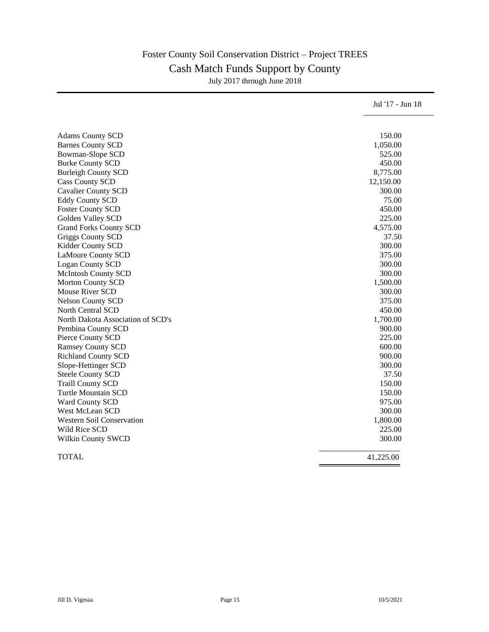## Foster County Soil Conservation District – Project TREES Cash Match Funds Support by County July 2017 through June 2018

| 150.00<br><b>Adams County SCD</b><br><b>Barnes County SCD</b><br>1,050.00<br>Bowman-Slope SCD<br>525.00<br><b>Burke County SCD</b><br>450.00<br><b>Burleigh County SCD</b><br>8,775.00<br><b>Cass County SCD</b><br>12,150.00<br><b>Cavalier County SCD</b><br>300.00<br><b>Eddy County SCD</b><br>75.00<br><b>Foster County SCD</b><br>450.00<br>Golden Valley SCD<br>225.00<br><b>Grand Forks County SCD</b><br>4,575.00<br>Griggs County SCD<br>37.50<br>Kidder County SCD<br>300.00<br><b>LaMoure County SCD</b><br>375.00<br><b>Logan County SCD</b><br>300.00<br><b>McIntosh County SCD</b><br>300.00<br><b>Morton County SCD</b><br>1,500.00<br><b>Mouse River SCD</b><br>300.00<br><b>Nelson County SCD</b><br>375.00<br>450.00<br><b>North Central SCD</b><br>North Dakota Association of SCD's<br>1,700.00<br>900.00<br>Pembina County SCD<br>225.00<br>Pierce County SCD<br>600.00<br><b>Ramsey County SCD</b><br><b>Richland County SCD</b><br>900.00<br>300.00<br>Slope-Hettinger SCD<br><b>Steele County SCD</b><br>37.50<br><b>Traill County SCD</b><br>150.00<br><b>Turtle Mountain SCD</b><br>150.00<br>975.00<br>Ward County SCD<br>West McLean SCD<br>300.00<br><b>Western Soil Conservation</b><br>1,800.00<br>Wild Rice SCD<br>225.00<br>300.00<br>Wilkin County SWCD<br><b>TOTAL</b><br>41,225.00 | Jul '17 - Jun 18 |
|-------------------------------------------------------------------------------------------------------------------------------------------------------------------------------------------------------------------------------------------------------------------------------------------------------------------------------------------------------------------------------------------------------------------------------------------------------------------------------------------------------------------------------------------------------------------------------------------------------------------------------------------------------------------------------------------------------------------------------------------------------------------------------------------------------------------------------------------------------------------------------------------------------------------------------------------------------------------------------------------------------------------------------------------------------------------------------------------------------------------------------------------------------------------------------------------------------------------------------------------------------------------------------------------------------------------------|------------------|
|                                                                                                                                                                                                                                                                                                                                                                                                                                                                                                                                                                                                                                                                                                                                                                                                                                                                                                                                                                                                                                                                                                                                                                                                                                                                                                                         |                  |
|                                                                                                                                                                                                                                                                                                                                                                                                                                                                                                                                                                                                                                                                                                                                                                                                                                                                                                                                                                                                                                                                                                                                                                                                                                                                                                                         |                  |
|                                                                                                                                                                                                                                                                                                                                                                                                                                                                                                                                                                                                                                                                                                                                                                                                                                                                                                                                                                                                                                                                                                                                                                                                                                                                                                                         |                  |
|                                                                                                                                                                                                                                                                                                                                                                                                                                                                                                                                                                                                                                                                                                                                                                                                                                                                                                                                                                                                                                                                                                                                                                                                                                                                                                                         |                  |
|                                                                                                                                                                                                                                                                                                                                                                                                                                                                                                                                                                                                                                                                                                                                                                                                                                                                                                                                                                                                                                                                                                                                                                                                                                                                                                                         |                  |
|                                                                                                                                                                                                                                                                                                                                                                                                                                                                                                                                                                                                                                                                                                                                                                                                                                                                                                                                                                                                                                                                                                                                                                                                                                                                                                                         |                  |
|                                                                                                                                                                                                                                                                                                                                                                                                                                                                                                                                                                                                                                                                                                                                                                                                                                                                                                                                                                                                                                                                                                                                                                                                                                                                                                                         |                  |
|                                                                                                                                                                                                                                                                                                                                                                                                                                                                                                                                                                                                                                                                                                                                                                                                                                                                                                                                                                                                                                                                                                                                                                                                                                                                                                                         |                  |
|                                                                                                                                                                                                                                                                                                                                                                                                                                                                                                                                                                                                                                                                                                                                                                                                                                                                                                                                                                                                                                                                                                                                                                                                                                                                                                                         |                  |
|                                                                                                                                                                                                                                                                                                                                                                                                                                                                                                                                                                                                                                                                                                                                                                                                                                                                                                                                                                                                                                                                                                                                                                                                                                                                                                                         |                  |
|                                                                                                                                                                                                                                                                                                                                                                                                                                                                                                                                                                                                                                                                                                                                                                                                                                                                                                                                                                                                                                                                                                                                                                                                                                                                                                                         |                  |
|                                                                                                                                                                                                                                                                                                                                                                                                                                                                                                                                                                                                                                                                                                                                                                                                                                                                                                                                                                                                                                                                                                                                                                                                                                                                                                                         |                  |
|                                                                                                                                                                                                                                                                                                                                                                                                                                                                                                                                                                                                                                                                                                                                                                                                                                                                                                                                                                                                                                                                                                                                                                                                                                                                                                                         |                  |
|                                                                                                                                                                                                                                                                                                                                                                                                                                                                                                                                                                                                                                                                                                                                                                                                                                                                                                                                                                                                                                                                                                                                                                                                                                                                                                                         |                  |
|                                                                                                                                                                                                                                                                                                                                                                                                                                                                                                                                                                                                                                                                                                                                                                                                                                                                                                                                                                                                                                                                                                                                                                                                                                                                                                                         |                  |
|                                                                                                                                                                                                                                                                                                                                                                                                                                                                                                                                                                                                                                                                                                                                                                                                                                                                                                                                                                                                                                                                                                                                                                                                                                                                                                                         |                  |
|                                                                                                                                                                                                                                                                                                                                                                                                                                                                                                                                                                                                                                                                                                                                                                                                                                                                                                                                                                                                                                                                                                                                                                                                                                                                                                                         |                  |
|                                                                                                                                                                                                                                                                                                                                                                                                                                                                                                                                                                                                                                                                                                                                                                                                                                                                                                                                                                                                                                                                                                                                                                                                                                                                                                                         |                  |
|                                                                                                                                                                                                                                                                                                                                                                                                                                                                                                                                                                                                                                                                                                                                                                                                                                                                                                                                                                                                                                                                                                                                                                                                                                                                                                                         |                  |
|                                                                                                                                                                                                                                                                                                                                                                                                                                                                                                                                                                                                                                                                                                                                                                                                                                                                                                                                                                                                                                                                                                                                                                                                                                                                                                                         |                  |
|                                                                                                                                                                                                                                                                                                                                                                                                                                                                                                                                                                                                                                                                                                                                                                                                                                                                                                                                                                                                                                                                                                                                                                                                                                                                                                                         |                  |
|                                                                                                                                                                                                                                                                                                                                                                                                                                                                                                                                                                                                                                                                                                                                                                                                                                                                                                                                                                                                                                                                                                                                                                                                                                                                                                                         |                  |
|                                                                                                                                                                                                                                                                                                                                                                                                                                                                                                                                                                                                                                                                                                                                                                                                                                                                                                                                                                                                                                                                                                                                                                                                                                                                                                                         |                  |
|                                                                                                                                                                                                                                                                                                                                                                                                                                                                                                                                                                                                                                                                                                                                                                                                                                                                                                                                                                                                                                                                                                                                                                                                                                                                                                                         |                  |
|                                                                                                                                                                                                                                                                                                                                                                                                                                                                                                                                                                                                                                                                                                                                                                                                                                                                                                                                                                                                                                                                                                                                                                                                                                                                                                                         |                  |
|                                                                                                                                                                                                                                                                                                                                                                                                                                                                                                                                                                                                                                                                                                                                                                                                                                                                                                                                                                                                                                                                                                                                                                                                                                                                                                                         |                  |
|                                                                                                                                                                                                                                                                                                                                                                                                                                                                                                                                                                                                                                                                                                                                                                                                                                                                                                                                                                                                                                                                                                                                                                                                                                                                                                                         |                  |
|                                                                                                                                                                                                                                                                                                                                                                                                                                                                                                                                                                                                                                                                                                                                                                                                                                                                                                                                                                                                                                                                                                                                                                                                                                                                                                                         |                  |
|                                                                                                                                                                                                                                                                                                                                                                                                                                                                                                                                                                                                                                                                                                                                                                                                                                                                                                                                                                                                                                                                                                                                                                                                                                                                                                                         |                  |
|                                                                                                                                                                                                                                                                                                                                                                                                                                                                                                                                                                                                                                                                                                                                                                                                                                                                                                                                                                                                                                                                                                                                                                                                                                                                                                                         |                  |
|                                                                                                                                                                                                                                                                                                                                                                                                                                                                                                                                                                                                                                                                                                                                                                                                                                                                                                                                                                                                                                                                                                                                                                                                                                                                                                                         |                  |
|                                                                                                                                                                                                                                                                                                                                                                                                                                                                                                                                                                                                                                                                                                                                                                                                                                                                                                                                                                                                                                                                                                                                                                                                                                                                                                                         |                  |
|                                                                                                                                                                                                                                                                                                                                                                                                                                                                                                                                                                                                                                                                                                                                                                                                                                                                                                                                                                                                                                                                                                                                                                                                                                                                                                                         |                  |
|                                                                                                                                                                                                                                                                                                                                                                                                                                                                                                                                                                                                                                                                                                                                                                                                                                                                                                                                                                                                                                                                                                                                                                                                                                                                                                                         |                  |
|                                                                                                                                                                                                                                                                                                                                                                                                                                                                                                                                                                                                                                                                                                                                                                                                                                                                                                                                                                                                                                                                                                                                                                                                                                                                                                                         |                  |
|                                                                                                                                                                                                                                                                                                                                                                                                                                                                                                                                                                                                                                                                                                                                                                                                                                                                                                                                                                                                                                                                                                                                                                                                                                                                                                                         |                  |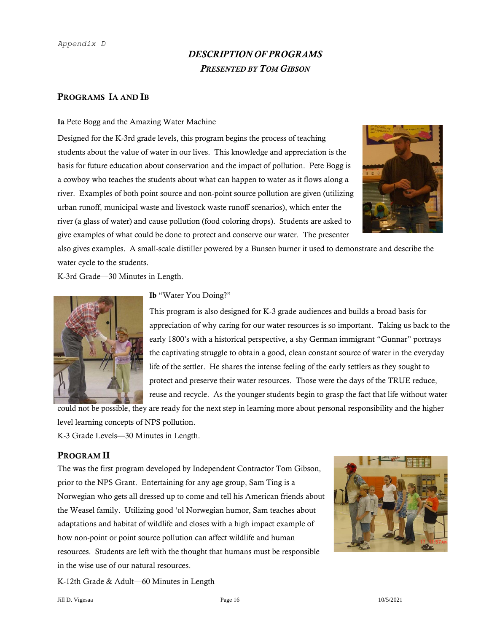#### *Appendix D*

## *DESCRIPTION OF PROGRAMS PRESENTED BY TOM GIBSON*

#### PROGRAMS IA AND IB

#### Ia Pete Bogg and the Amazing Water Machine

Designed for the K-3rd grade levels, this program begins the process of teaching students about the value of water in our lives. This knowledge and appreciation is the basis for future education about conservation and the impact of pollution. Pete Bogg is a cowboy who teaches the students about what can happen to water as it flows along a river. Examples of both point source and non-point source pollution are given (utilizing urban runoff, municipal waste and livestock waste runoff scenarios), which enter the river (a glass of water) and cause pollution (food coloring drops). Students are asked to give examples of what could be done to protect and conserve our water. The presenter



also gives examples. A small-scale distiller powered by a Bunsen burner it used to demonstrate and describe the water cycle to the students.

K-3rd Grade—30 Minutes in Length.



Ib "Water You Doing?"

This program is also designed for K-3 grade audiences and builds a broad basis for appreciation of why caring for our water resources is so important. Taking us back to the early 1800's with a historical perspective, a shy German immigrant "Gunnar" portrays the captivating struggle to obtain a good, clean constant source of water in the everyday life of the settler. He shares the intense feeling of the early settlers as they sought to protect and preserve their water resources. Those were the days of the TRUE reduce, reuse and recycle. As the younger students begin to grasp the fact that life without water

could not be possible, they are ready for the next step in learning more about personal responsibility and the higher level learning concepts of NPS pollution. K-3 Grade Levels—30 Minutes in Length.

## PROGRAM II

The was the first program developed by Independent Contractor Tom Gibson, prior to the NPS Grant. Entertaining for any age group, Sam Ting is a Norwegian who gets all dressed up to come and tell his American friends about the Weasel family. Utilizing good 'ol Norwegian humor, Sam teaches about adaptations and habitat of wildlife and closes with a high impact example of how non-point or point source pollution can affect wildlife and human resources. Students are left with the thought that humans must be responsible in the wise use of our natural resources.



K-12th Grade & Adult—60 Minutes in Length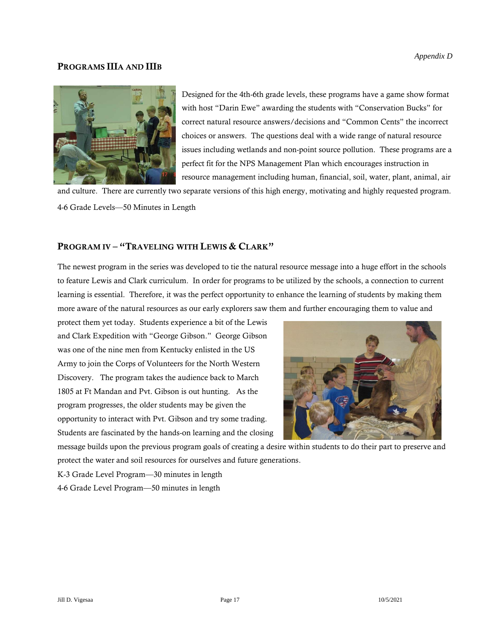## PROGRAMS IIIA AND IIIB



Designed for the 4th-6th grade levels, these programs have a game show format with host "Darin Ewe" awarding the students with "Conservation Bucks" for correct natural resource answers/decisions and "Common Cents" the incorrect choices or answers. The questions deal with a wide range of natural resource issues including wetlands and non-point source pollution. These programs are a perfect fit for the NPS Management Plan which encourages instruction in resource management including human, financial, soil, water, plant, animal, air

and culture. There are currently two separate versions of this high energy, motivating and highly requested program. 4-6 Grade Levels—50 Minutes in Length

## PROGRAM IV - "TRAVELING WITH LEWIS & CLARK"

The newest program in the series was developed to tie the natural resource message into a huge effort in the schools to feature Lewis and Clark curriculum. In order for programs to be utilized by the schools, a connection to current learning is essential. Therefore, it was the perfect opportunity to enhance the learning of students by making them more aware of the natural resources as our early explorers saw them and further encouraging them to value and

protect them yet today. Students experience a bit of the Lewis and Clark Expedition with "George Gibson." George Gibson was one of the nine men from Kentucky enlisted in the US Army to join the Corps of Volunteers for the North Western Discovery. The program takes the audience back to March 1805 at Ft Mandan and Pvt. Gibson is out hunting. As the program progresses, the older students may be given the opportunity to interact with Pvt. Gibson and try some trading. Students are fascinated by the hands-on learning and the closing



message builds upon the previous program goals of creating a desire within students to do their part to preserve and protect the water and soil resources for ourselves and future generations.

K-3 Grade Level Program—30 minutes in length

4-6 Grade Level Program—50 minutes in length